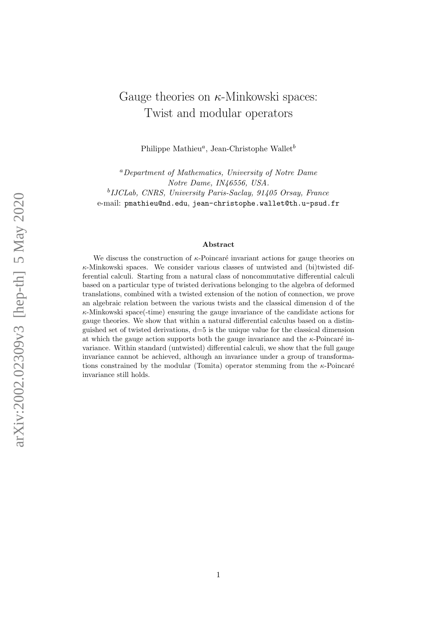# Gauge theories on  $\kappa$ -Minkowski spaces: Twist and modular operators

Philippe Mathieu<sup>a</sup>, Jean-Christophe Wallet<sup>b</sup>

<sup>a</sup>Department of Mathematics, University of Notre Dame Notre Dame, IN46556, USA. <sup>b</sup>IJCLab, CNRS, University Paris-Saclay, 91405 Orsay, France e-mail: pmathieu@nd.edu, jean-christophe.wallet@th.u-psud.fr

#### Abstract

We discuss the construction of  $\kappa$ -Poincaré invariant actions for gauge theories on  $\kappa$ -Minkowski spaces. We consider various classes of untwisted and (bi)twisted differential calculi. Starting from a natural class of noncommutative differential calculi based on a particular type of twisted derivations belonging to the algebra of deformed translations, combined with a twisted extension of the notion of connection, we prove an algebraic relation between the various twists and the classical dimension d of the  $\kappa$ -Minkowski space(-time) ensuring the gauge invariance of the candidate actions for gauge theories. We show that within a natural differential calculus based on a distinguished set of twisted derivations, d=5 is the unique value for the classical dimension at which the gauge action supports both the gauge invariance and the  $\kappa$ -Poincaré invariance. Within standard (untwisted) differential calculi, we show that the full gauge invariance cannot be achieved, although an invariance under a group of transformations constrained by the modular (Tomita) operator stemming from the  $\kappa$ -Poincaré invariance still holds.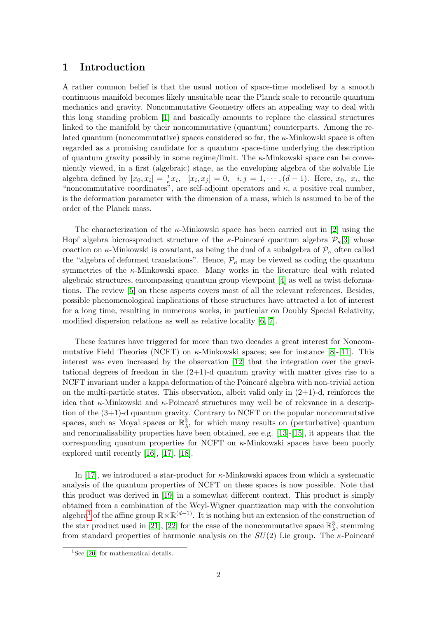## 1 Introduction

A rather common belief is that the usual notion of space-time modelised by a smooth continuous manifold becomes likely unsuitable near the Planck scale to reconcile quantum mechanics and gravity. Noncommutative Geometry offers an appealing way to deal with this long standing problem [\[1\]](#page-23-0) and basically amounts to replace the classical structures linked to the manifold by their noncommutative (quantum) counterparts. Among the related quantum (noncommutative) spaces considered so far, the  $\kappa$ -Minkowski space is often regarded as a promising candidate for a quantum space-time underlying the description of quantum gravity possibly in some regime/limit. The κ-Minkowski space can be conveniently viewed, in a first (algebraic) stage, as the enveloping algebra of the solvable Lie algebra defined by  $[x_0, x_i] = \frac{i}{\kappa} x_i$ ,  $[x_i, x_j] = 0$ ,  $i, j = 1, \dots, (d-1)$ . Here,  $x_0, x_i$ , the "noncommutative coordinates", are self-adjoint operators and  $\kappa$ , a positive real number, is the deformation parameter with the dimension of a mass, which is assumed to be of the order of the Planck mass.

The characterization of the  $\kappa$ -Minkowski space has been carried out in [\[2\]](#page-24-0) using the Hopf algebra bicrossproduct structure of the  $\kappa$ -Poincaré quantum algebra  $\mathcal{P}_{\kappa}[3]$  $\mathcal{P}_{\kappa}[3]$  whose coaction on  $\kappa$ -Minkowski is covariant, as being the dual of a subalgebra of  $\mathcal{P}_{\kappa}$  often called the "algebra of deformed translations". Hence,  $\mathcal{P}_{\kappa}$  may be viewed as coding the quantum symmetries of the  $\kappa$ -Minkowski space. Many works in the literature deal with related algebraic structures, encompassing quantum group viewpoint [\[4\]](#page-24-2) as well as twist deformations. The review [\[5\]](#page-24-3) on these aspects covers most of all the relevant references. Besides, possible phenomenological implications of these structures have attracted a lot of interest for a long time, resulting in numerous works, in particular on Doubly Special Relativity, modified dispersion relations as well as relative locality [\[6,](#page-24-4) [7\]](#page-24-5).

These features have triggered for more than two decades a great interest for Noncommutative Field Theories (NCFT) on  $\kappa$ -Minkowski spaces; see for instance [\[8\]](#page-24-6)-[\[11\]](#page-24-7). This interest was even increased by the observation [\[12\]](#page-24-8) that the integration over the gravitational degrees of freedom in the  $(2+1)$ -d quantum gravity with matter gives rise to a NCFT invariant under a kappa deformation of the Poincaré algebra with non-trivial action on the multi-particle states. This observation, albeit valid only in  $(2+1)$ -d, reinforces the idea that  $\kappa$ -Minkowski and  $\kappa$ -Poincaré structures may well be of relevance in a description of the (3+1)-d quantum gravity. Contrary to NCFT on the popular noncommutative spaces, such as Moyal spaces or  $\mathbb{R}^3_\lambda$ , for which many results on (perturbative) quantum and renormalisability properties have been obtained, see e.g. [\[13\]](#page-24-9)-[\[15\]](#page-25-0), it appears that the corresponding quantum properties for NCFT on  $\kappa$ -Minkowski spaces have been poorly explored until recently [\[16\]](#page-25-1), [\[17\]](#page-25-2), [\[18\]](#page-25-3).

In [\[17\]](#page-25-2), we introduced a star-product for κ-Minkowski spaces from which a systematic analysis of the quantum properties of NCFT on these spaces is now possible. Note that this product was derived in [\[19\]](#page-25-4) in a somewhat different context. This product is simply obtained from a combination of the Weyl-Wigner quantization map with the convolution algebra<sup>[1](#page-1-0)</sup> of the affine group  $\mathbb{R}\ltimes\mathbb{R}^{(d-1)}$ . It is nothing but an extension of the construction of the star product used in [\[21\]](#page-25-5), [\[22\]](#page-25-6) for the case of the noncommutative space  $\mathbb{R}^3_\lambda$ , stemming from standard properties of harmonic analysis on the  $SU(2)$  Lie group. The  $\kappa$ -Poincaré

<span id="page-1-0"></span><sup>&</sup>lt;sup>1</sup>See [\[20\]](#page-25-7) for mathematical details.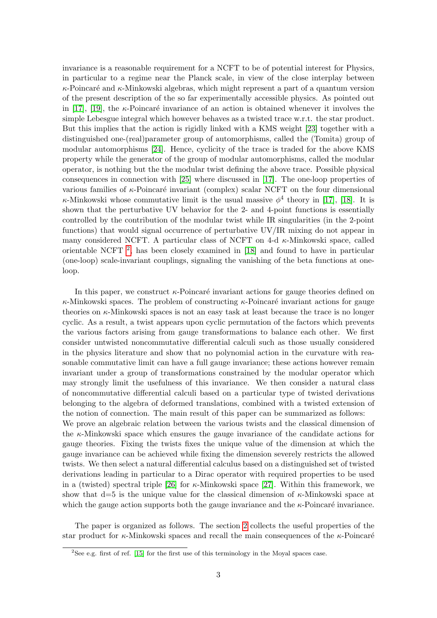invariance is a reasonable requirement for a NCFT to be of potential interest for Physics, in particular to a regime near the Planck scale, in view of the close interplay between  $\kappa$ -Poincaré and  $\kappa$ -Minkowski algebras, which might represent a part of a quantum version of the present description of the so far experimentally accessible physics. As pointed out in [\[17\]](#page-25-2), [\[19\]](#page-25-4), the  $\kappa$ -Poincaré invariance of an action is obtained whenever it involves the simple Lebesgue integral which however behaves as a twisted trace w.r.t. the star product. But this implies that the action is rigidly linked with a KMS weight [\[23\]](#page-25-8) together with a distinguished one-(real)parameter group of automorphisms, called the (Tomita) group of modular automorphisms [\[24\]](#page-25-9). Hence, cyclicity of the trace is traded for the above KMS property while the generator of the group of modular automorphisms, called the modular operator, is nothing but the the modular twist defining the above trace. Possible physical consequences in connection with [\[25\]](#page-25-10) where discussed in [\[17\]](#page-25-2). The one-loop properties of various families of  $\kappa$ -Poincaré invariant (complex) scalar NCFT on the four dimensional  $\kappa$ -Minkowski whose commutative limit is the usual massive  $\phi^4$  theory in [\[17\]](#page-25-2), [\[18\]](#page-25-3). It is shown that the perturbative UV behavior for the 2- and 4-point functions is essentially controlled by the contribution of the modular twist while IR singularities (in the 2-point functions) that would signal occurrence of perturbative UV/IR mixing do not appear in many considered NCFT. A particular class of NCFT on 4-d  $\kappa$ -Minkowski space, called orientable NCFT [2](#page-2-0) , has been closely examined in [\[18\]](#page-25-3) and found to have in particular (one-loop) scale-invariant couplings, signaling the vanishing of the beta functions at oneloop.

In this paper, we construct  $\kappa$ -Poincaré invariant actions for gauge theories defined on  $\kappa$ -Minkowski spaces. The problem of constructing  $\kappa$ -Poincaré invariant actions for gauge theories on  $\kappa$ -Minkowski spaces is not an easy task at least because the trace is no longer cyclic. As a result, a twist appears upon cyclic permutation of the factors which prevents the various factors arising from gauge transformations to balance each other. We first consider untwisted noncommutative differential calculi such as those usually considered in the physics literature and show that no polynomial action in the curvature with reasonable commutative limit can have a full gauge invariance; these actions however remain invariant under a group of transformations constrained by the modular operator which may strongly limit the usefulness of this invariance. We then consider a natural class of noncommutative differential calculi based on a particular type of twisted derivations belonging to the algebra of deformed translations, combined with a twisted extension of the notion of connection. The main result of this paper can be summarized as follows: We prove an algebraic relation between the various twists and the classical dimension of the  $\kappa$ -Minkowski space which ensures the gauge invariance of the candidate actions for gauge theories. Fixing the twists fixes the unique value of the dimension at which the gauge invariance can be achieved while fixing the dimension severely restricts the allowed twists. We then select a natural differential calculus based on a distinguished set of twisted derivations leading in particular to a Dirac operator with required properties to be used in a (twisted) spectral triple [\[26\]](#page-25-11) for  $\kappa$ -Minkowski space [\[27\]](#page-25-12). Within this framework, we show that d=5 is the unique value for the classical dimension of  $\kappa$ -Minkowski space at which the gauge action supports both the gauge invariance and the  $\kappa$ -Poincaré invariance.

The paper is organized as follows. The section [2](#page-3-0) collects the useful properties of the star product for  $\kappa$ -Minkowski spaces and recall the main consequences of the  $\kappa$ -Poincaré

<span id="page-2-0"></span> $2$ See e.g. first of ref. [\[15\]](#page-25-0) for the first use of this terminology in the Moyal spaces case.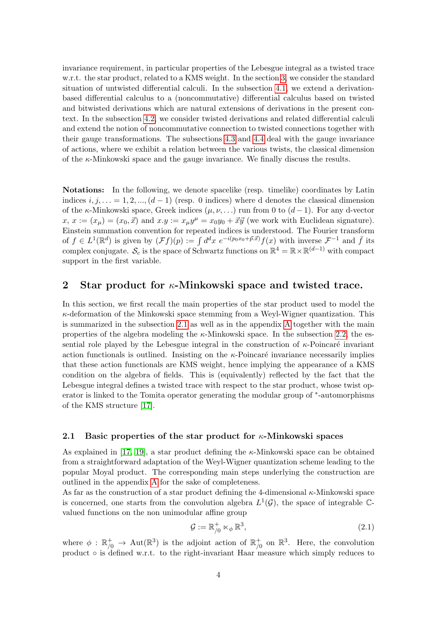invariance requirement, in particular properties of the Lebesgue integral as a twisted trace w.r.t. the star product, related to a KMS weight. In the section [3,](#page-7-0) we consider the standard situation of untwisted differential calculi. In the subsection [4.1,](#page-13-0) we extend a derivationbased differential calculus to a (noncommutative) differential calculus based on twisted and bitwisted derivations which are natural extensions of derivations in the present context. In the subsection [4.2,](#page-15-0) we consider twisted derivations and related differential calculi and extend the notion of noncommutative connection to twisted connections together with their gauge transformations. The subsections [4.3](#page-16-0) and [4.4](#page-18-0) deal with the gauge invariance of actions, where we exhibit a relation between the various twists, the classical dimension of the  $\kappa$ -Minkowski space and the gauge invariance. We finally discuss the results.

Notations: In the following, we denote spacelike (resp. timelike) coordinates by Latin indices  $i, j, \ldots = 1, 2, \ldots, (d-1)$  (resp. 0 indices) where d denotes the classical dimension of the κ-Minkowski space, Greek indices  $(\mu, \nu, ...)$  run from 0 to  $(d-1)$ . For any d-vector  $x, x := (x_{\mu}) = (x_0, \vec{x})$  and  $x \cdot y := x_{\mu}y^{\mu} = x_0y_0 + \vec{x}\vec{y}$  (we work with Euclidean signature). Einstein summation convention for repeated indices is understood. The Fourier transform of  $f \in L^1(\mathbb{R}^d)$  is given by  $(\mathcal{F}f)(p) := \int d^dx \ e^{-i(p_0x_0 + \vec{p}.\vec{x})} f(x)$  with inverse  $\mathcal{F}^{-1}$  and  $\bar{f}$  its complex conjugate.  $\mathcal{S}_c$  is the space of Schwartz functions on  $\mathbb{R}^4 = \mathbb{R} \times \mathbb{R}^{(d-1)}$  with compact support in the first variable.

## <span id="page-3-0"></span>2 Star product for  $\kappa$ -Minkowski space and twisted trace.

In this section, we first recall the main properties of the star product used to model the  $\kappa$ -deformation of the Minkowski space stemming from a Weyl-Wigner quantization. This is summarized in the subsection [2.1](#page-3-1) as well as in the appendix [A](#page-21-0) together with the main properties of the algebra modeling the  $\kappa$ -Minkowski space. In the subsection [2.2,](#page-5-0) the essential role played by the Lebesgue integral in the construction of  $\kappa$ -Poincaré invariant action functionals is outlined. Insisting on the  $\kappa$ -Poincaré invariance necessarily implies that these action functionals are KMS weight, hence implying the appearance of a KMS condition on the algebra of fields. This is (equivalently) reflected by the fact that the Lebesgue integral defines a twisted trace with respect to the star product, whose twist operator is linked to the Tomita operator generating the modular group of  $*$ -automorphisms of the KMS structure [\[17\]](#page-25-2).

#### <span id="page-3-1"></span>2.1 Basic properties of the star product for  $\kappa$ -Minkowski spaces

As explained in [\[17,](#page-25-2) [19\]](#page-25-4), a star product defining the  $\kappa$ -Minkowski space can be obtained from a straightforward adaptation of the Weyl-Wigner quantization scheme leading to the popular Moyal product. The corresponding main steps underlying the construction are outlined in the appendix [A](#page-21-0) for the sake of completeness.

As far as the construction of a star product defining the 4-dimensional  $\kappa$ -Minkowski space is concerned, one starts from the convolution algebra  $L^1(\mathcal{G})$ , the space of integrable Cvalued functions on the non unimodular affine group

$$
\mathcal{G} := \mathbb{R}^+_{/0} \ltimes_{\phi} \mathbb{R}^3, \tag{2.1}
$$

where  $\phi : \mathbb{R}^+_{/0} \to \text{Aut}(\mathbb{R}^3)$  is the adjoint action of  $\mathbb{R}^+_{/0}$  $_{/0}^+$  on  $\mathbb{R}^3$ . Here, the convolution product  $\circ$  is defined w.r.t. to the right-invariant Haar measure which simply reduces to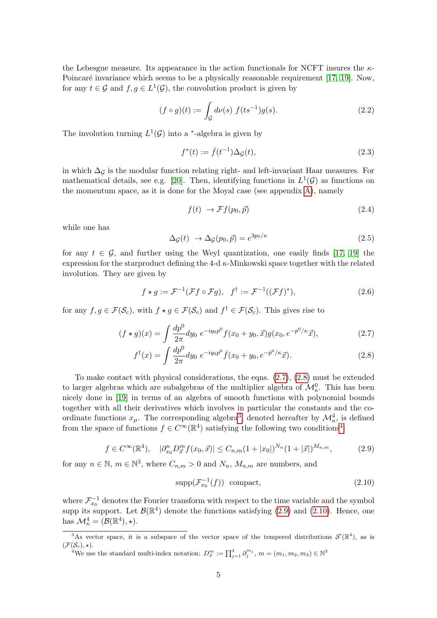the Lebesgue measure. Its appearance in the action functionals for NCFT insures the  $\kappa$ -Poincaré invariance which seems to be a physically reasonable requirement [\[17,](#page-25-2) [19\]](#page-25-4). Now, for any  $t \in \mathcal{G}$  and  $f, g \in L^1(\mathcal{G})$ , the convolution product is given by

$$
(f \circ g)(t) := \int_{\mathcal{G}} d\nu(s) \ f(ts^{-1})g(s).
$$
 (2.2)

The involution turning  $L^1(\mathcal{G})$  into a <sup>\*</sup>-algebra is given by

$$
f^*(t) := \bar{f}(t^{-1}) \Delta_{\mathcal{G}}(t),\tag{2.3}
$$

in which  $\Delta_{\mathcal{G}}$  is the modular function relating right- and left-invariant Haar measures. For mathematical details, see e.g. [\[20\]](#page-25-7). Then, identifying functions in  $L^1(\mathcal{G})$  as functions on the momentum space, as it is done for the Moyal case (see appendix [A\)](#page-21-0), namely

<span id="page-4-6"></span><span id="page-4-0"></span>
$$
f(t) \to \mathcal{F}f(p_0, \vec{p}) \tag{2.4}
$$

while one has

<span id="page-4-1"></span>
$$
\Delta_{\mathcal{G}}(t) \rightarrow \Delta_{\mathcal{G}}(p_0, \vec{p}) = e^{3p_0/\kappa} \tag{2.5}
$$

for any  $t \in \mathcal{G}$ , and further using the Weyl quantization, one easily finds [\[17,](#page-25-2) [19\]](#page-25-4) the expression for the starproduct defining the 4-d  $\kappa$ -Minkowski space together with the related involution. They are given by

$$
f \star g := \mathcal{F}^{-1}(\mathcal{F}f \circ \mathcal{F}g), \quad f^{\dagger} := \mathcal{F}^{-1}((\mathcal{F}f)^{*}), \tag{2.6}
$$

for any  $f, g \in \mathcal{F}(\mathcal{S}_c)$ , with  $f \star g \in \mathcal{F}(\mathcal{S}_c)$  and  $f^{\dagger} \in \mathcal{F}(\mathcal{S}_c)$ . This gives rise to

$$
(f \star g)(x) = \int \frac{dp^0}{2\pi} dy_0 \ e^{-iy_0p^0} f(x_0 + y_0, \vec{x}) g(x_0, e^{-p^0/\kappa} \vec{x}), \tag{2.7}
$$

$$
f^{\dagger}(x) = \int \frac{dp^0}{2\pi} dy_0 \ e^{-iy_0 p^0} \bar{f}(x_0 + y_0, e^{-p^0/\kappa} \vec{x}). \tag{2.8}
$$

To make contact with physical considerations, the eqns. [\(2.7\)](#page-4-0), [\(2.8\)](#page-4-1) must be extended to larger algebras which are subalgebras of the multiplier algebra of  $\mathcal{M}_{\kappa}^0$ . This has been nicely done in [\[19\]](#page-25-4) in terms of an algebra of smooth functions with polynomial bounds together with all their derivatives which involves in particular the constants and the coordinate functions  $x_{\mu}$ . The corresponding algebra<sup>[3](#page-4-2)</sup>, denoted hereafter by  $\mathcal{M}^4_{\kappa}$ , is defined from the space of functions  $f \in C^{\infty}(\mathbb{R}^{4})$  $f \in C^{\infty}(\mathbb{R}^{4})$  $f \in C^{\infty}(\mathbb{R}^{4})$  satisfying the following two conditions<sup>4</sup>:

<span id="page-4-4"></span>
$$
f \in C^{\infty}(\mathbb{R}^4), \quad |\partial_{x_0}^n D_{\vec{x}}^m f(x_0, \vec{x})| \le C_{n,m} (1+|x_0|)^{N_n} (1+|\vec{x}|)^{M_{n,m}}, \tag{2.9}
$$

for any  $n \in \mathbb{N}$ ,  $m \in \mathbb{N}^3$ , where  $C_{n,m} > 0$  and  $N_n$ ,  $M_{n,m}$  are numbers, and

<span id="page-4-5"></span>
$$
\operatorname{supp}(\mathcal{F}_{x_0}^{-1}(f)) \quad \text{compact},\tag{2.10}
$$

where  $\mathcal{F}_{x_0}^{-1}$  denotes the Fourier transform with respect to the time variable and the symbol supp its support. Let  $\mathcal{B}(\mathbb{R}^4)$  denote the functions satisfying [\(2.9\)](#page-4-4) and [\(2.10\)](#page-4-5). Hence, one has  $\mathcal{M}^4_{\kappa} = (\mathcal{B}(\mathbb{R}^4), \star).$ 

<span id="page-4-3"></span><sup>4</sup>We use the standard multi-index notation:  $D_{\vec{x}}^m := \prod_{j=1}^3 \partial_j^{m_j}, m = (m_1, m_2, m_3) \in \mathbb{N}^3$ 

<span id="page-4-2"></span><sup>&</sup>lt;sup>3</sup>As vector space, it is a subspace of the vector space of the tempered distributions  $\mathcal{S}'(\mathbb{R}^4)$ , as is  $(\mathcal{F}(\mathcal{S}_c), \star).$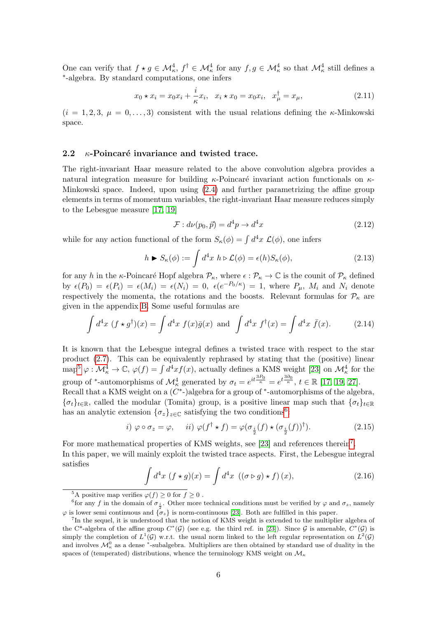One can verify that  $f \star g \in \mathcal{M}_{\kappa}^4$ ,  $f^{\dagger} \in \mathcal{M}_{\kappa}^4$  for any  $f, g \in \mathcal{M}_{\kappa}^4$  so that  $\mathcal{M}_{\kappa}^4$  still defines a ∗ -algebra. By standard computations, one infers

<span id="page-5-8"></span>
$$
x_0 \star x_i = x_0 x_i + \frac{i}{\kappa} x_i, \ \ x_i \star x_0 = x_0 x_i, \ \ x_\mu^\dagger = x_\mu,\tag{2.11}
$$

 $(i = 1, 2, 3, \mu = 0, \ldots, 3)$  consistent with the usual relations defining the  $\kappa$ -Minkowski space.

#### <span id="page-5-0"></span>2.2  $\kappa$ -Poincaré invariance and twisted trace.

The right-invariant Haar measure related to the above convolution algebra provides a natural integration measure for building  $\kappa$ -Poincaré invariant action functionals on  $\kappa$ -Minkowski space. Indeed, upon using [\(2.4\)](#page-4-6) and further parametrizing the affine group elements in terms of momentum variables, the right-invariant Haar measure reduces simply to the Lebesgue measure [\[17,](#page-25-2) [19\]](#page-25-4)

<span id="page-5-6"></span>
$$
\mathcal{F}: d\nu(p_0, \vec{p}) = d^4 p \to d^4 x \tag{2.12}
$$

while for any action functional of the form  $S_{\kappa}(\phi) = \int d^4x \mathcal{L}(\phi)$ , one infers

<span id="page-5-7"></span>
$$
h \triangleright S_{\kappa}(\phi) := \int d^4x \ h \triangleright \mathcal{L}(\phi) = \epsilon(h) S_{\kappa}(\phi), \tag{2.13}
$$

for any h in the  $\kappa$ -Poincaré Hopf algebra  $\mathcal{P}_{\kappa}$ , where  $\epsilon : \mathcal{P}_{\kappa} \to \mathbb{C}$  is the counit of  $\mathcal{P}_{\kappa}$  defined by  $\epsilon(P_0) = \epsilon(P_i) = \epsilon(M_i) = \epsilon(N_i) = 0$ ,  $\epsilon(e^{-P_0/\kappa}) = 1$ , where  $P_\mu$ ,  $M_i$  and  $N_i$  denote respectively the momenta, the rotations and the boosts. Relevant formulas for  $\mathcal{P}_{\kappa}$  are given in the appendix [B.](#page-21-1) Some useful formulas are

$$
\int d^4x \ (f \star g^\dagger)(x) = \int d^4x \ f(x)\bar{g}(x) \text{ and } \int d^4x \ f^\dagger(x) = \int d^4x \ \bar{f}(x). \tag{2.14}
$$

It is known that the Lebesgue integral defines a twisted trace with respect to the star product [\(2.7\)](#page-4-0). This can be equivalently rephrased by stating that the (positive) linear map<sup>[5](#page-5-1)</sup>  $\varphi: \mathcal{M}_\kappa^4 \to \mathbb{C}, \varphi(f) = \int d^4x f(x)$ , actually defines a KMS weight [\[23\]](#page-25-8) on  $\mathcal{M}_\kappa^4$  for the group of \*-automorphisms of  $\mathcal{M}_{\kappa}^4$  generated by  $\sigma_t = e^{it \frac{3P_0}{\kappa}} = e^{t \frac{3\partial_0}{\kappa}}, t \in \mathbb{R}$  [\[17,](#page-25-2) [19,](#page-25-4) [27\]](#page-25-12).

Recall that a KMS weight on a  $(C^*)$ algebra for a group of  $*$ -automorphisms of the algebra,  ${\{\sigma_t\}}_{t\in\mathbb{R}}$ , called the modular (Tomita) group, is a positive linear map such that  ${\{\sigma_t\}}_{t\in\mathbb{R}}$ has an analytic extension  $\{\sigma_z\}_{z\in\mathbb{C}}$  satisfying the two conditions<sup>[6](#page-5-2)</sup>:

<span id="page-5-5"></span>
$$
i) \varphi \circ \sigma_z = \varphi, \quad ii) \varphi(f^\dagger \star f) = \varphi(\sigma_{\frac{i}{2}}(f) \star (\sigma_{\frac{i}{2}}(f))^\dagger). \tag{2.15}
$$

For more mathematical properties of KMS weights, see [\[23\]](#page-25-8) and references therein<sup>[7](#page-5-3)</sup>. In this paper, we will mainly exploit the twisted trace aspects. First, the Lebesgue integral satisfies

<span id="page-5-4"></span>
$$
\int d^4x \ (f \star g)(x) = \int d^4x \ ((\sigma \triangleright g) \star f)(x), \tag{2.16}
$$

<span id="page-5-2"></span><span id="page-5-1"></span><sup>&</sup>lt;sup>5</sup>A positive map verifies  $\varphi(f) \geq 0$  for  $f \geq 0$ .

<sup>&</sup>lt;sup>6</sup> for any f in the domain of  $\sigma_{\frac{i}{2}}$ . Other more technical conditions must be verified by  $\varphi$  and  $\sigma_z$ , namely  $\varphi$  is lower semi continuous and  $\{\sigma_z\}$  is norm-continuous [\[23\]](#page-25-8). Both are fulfilled in this paper.

<span id="page-5-3"></span><sup>&</sup>lt;sup>7</sup>In the sequel, it is understood that the notion of KMS weight is extended to the multiplier algebra of the C<sup>\*</sup>-algebra of the affine group  $C^*(\mathcal{G})$  (see e.g. the third ref. in [\[23\]](#page-25-8)). Since  $\mathcal{G}$  is amenable,  $C^*(\mathcal{G})$  is simply the completion of  $L^1(\mathcal{G})$  w.r.t. the usual norm linked to the left regular representation on  $L^2(\mathcal{G})$ and involves  $\mathcal{M}_\kappa^0$  as a dense \*-subalgebra. Multipliers are then obtained by standard use of duality in the spaces of (temperated) distributions, whence the terminology KMS weight on  $\mathcal{M}_{\kappa}$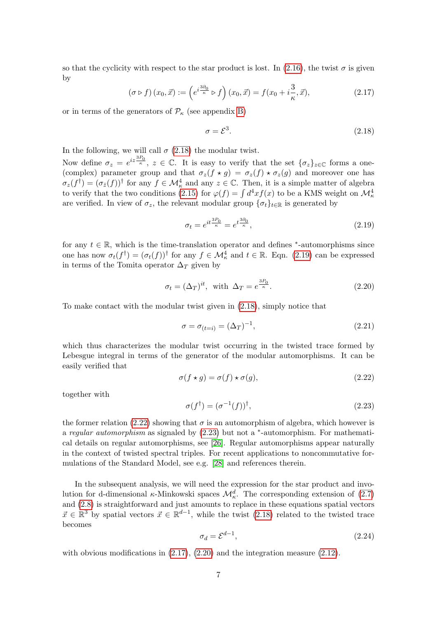so that the cyclicity with respect to the star product is lost. In [\(2.16\)](#page-5-4), the twist  $\sigma$  is given by

<span id="page-6-4"></span>
$$
\left(\sigma \triangleright f\right)(x_0, \vec{x}) := \left(e^{i\frac{3\partial_0}{\kappa}} \triangleright f\right)(x_0, \vec{x}) = f(x_0 + i\frac{3}{\kappa}, \vec{x}),\tag{2.17}
$$

or in terms of the generators of  $\mathcal{P}_{\kappa}$  (see appendix [B\)](#page-21-1)

<span id="page-6-0"></span>
$$
\sigma = \mathcal{E}^3. \tag{2.18}
$$

In the following, we will call  $\sigma$  [\(2.18\)](#page-6-0) the modular twist.

Now define  $\sigma_z = e^{iz\frac{3P_0}{\kappa}}, z \in \mathbb{C}$ . It is easy to verify that the set  $\{\sigma_z\}_{z \in \mathbb{C}}$  forms a one-(complex) parameter group and that  $\sigma_z(f \star g) = \sigma_z(f) \star \sigma_z(g)$  and moreover one has  $\sigma_z(f^{\dagger}) = (\sigma_{\bar{z}}(f))^{\dagger}$  for any  $f \in \mathcal{M}^4_{\kappa}$  and any  $z \in \mathbb{C}$ . Then, it is a simple matter of algebra to verify that the two conditions [\(2.15\)](#page-5-5) for  $\varphi(f) = \int d^4x f(x)$  to be a KMS weight on  $\mathcal{M}^4_{\kappa}$ are verified. In view of  $\sigma_z$ , the relevant modular group  $\{\sigma_t\}_{t\in\mathbb{R}}$  is generated by

<span id="page-6-1"></span>
$$
\sigma_t = e^{it\frac{3P_0}{\kappa}} = e^{t\frac{3\partial_0}{\kappa}},\tag{2.19}
$$

for any  $t \in \mathbb{R}$ , which is the time-translation operator and defines \*-automorphisms since one has now  $\sigma_t(f^{\dagger}) = (\sigma_t(f))^{\dagger}$  for any  $f \in \mathcal{M}_\kappa^4$  and  $t \in \mathbb{R}$ . Eqn. [\(2.19\)](#page-6-1) can be expressed in terms of the Tomita operator  $\Delta_T$  given by

<span id="page-6-5"></span>
$$
\sigma_t = (\Delta_T)^{it}, \text{ with } \Delta_T = e^{\frac{3P_0}{\kappa}}.
$$
\n(2.20)

To make contact with the modular twist given in [\(2.18\)](#page-6-0), simply notice that

$$
\sigma = \sigma_{(t=i)} = (\Delta_T)^{-1},\tag{2.21}
$$

which thus characterizes the modular twist occurring in the twisted trace formed by Lebesgue integral in terms of the generator of the modular automorphisms. It can be easily verified that

<span id="page-6-2"></span>
$$
\sigma(f \star g) = \sigma(f) \star \sigma(g),\tag{2.22}
$$

together with

<span id="page-6-3"></span>
$$
\sigma(f^{\dagger}) = (\sigma^{-1}(f))^{\dagger},\tag{2.23}
$$

the former relation [\(2.22\)](#page-6-2) showing that  $\sigma$  is an automorphism of algebra, which however is a regular automorphism as signaled by  $(2.23)$  but not a <sup>\*</sup>-automorphism. For mathematical details on regular automorphisms, see [\[26\]](#page-25-11). Regular automorphisms appear naturally in the context of twisted spectral triples. For recent applications to noncommutative formulations of the Standard Model, see e.g. [\[28\]](#page-25-13) and references therein.

In the subsequent analysis, we will need the expression for the star product and involution for d-dimensional  $\kappa$ -Minkowski spaces  $\mathcal{M}^d_{\kappa}$ . The corresponding extension of [\(2.7\)](#page-4-0) and [\(2.8\)](#page-4-1) is straightforward and just amounts to replace in these equations spatial vectors  $\vec{x} \in \mathbb{R}^3$  by spatial vectors  $\vec{x} \in \mathbb{R}^{d-1}$ , while the twist [\(2.18\)](#page-6-0) related to the twisted trace becomes

<span id="page-6-6"></span>
$$
\sigma_d = \mathcal{E}^{d-1},\tag{2.24}
$$

with obvious modifications in  $(2.17)$ ,  $(2.20)$  and the integration measure  $(2.12)$ .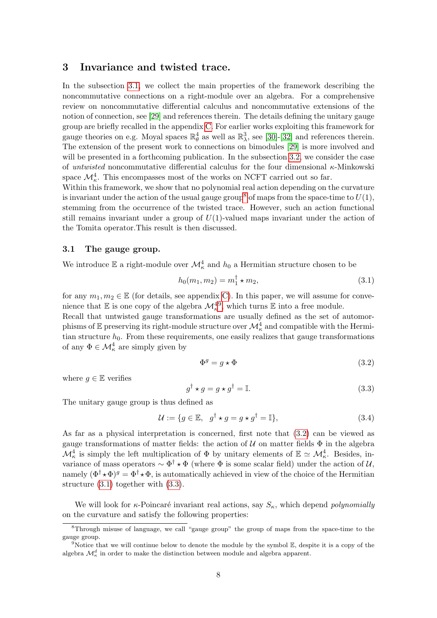## <span id="page-7-0"></span>3 Invariance and twisted trace.

In the subsection [3.1,](#page-7-1) we collect the main properties of the framework describing the noncommutative connections on a right-module over an algebra. For a comprehensive review on noncommutative differential calculus and noncommutative extensions of the notion of connection, see [\[29\]](#page-25-14) and references therein. The details defining the unitary gauge group are briefly recalled in the appendix [C.](#page-23-1) For earlier works exploiting this framework for gauge theories on e.g. Moyal spaces  $\mathbb{R}^4_\theta$  as well as  $\mathbb{R}^3_\lambda$ , see [\[30\]](#page-25-15)-[\[32\]](#page-26-0) and references therein. The extension of the present work to connections on bimodules [\[29\]](#page-25-14) is more involved and will be presented in a forthcoming publication. In the subsection [3.2,](#page-8-0) we consider the case of *untwisted* noncommutative differential calculus for the four dimensional  $\kappa$ -Minkowski space  $\mathcal{M}^4_{\kappa}$ . This encompasses most of the works on NCFT carried out so far.

Within this framework, we show that no polynomial real action depending on the curvature is invariant under the action of the usual gauge group<sup>[8](#page-7-2)</sup> of maps from the space-time to  $U(1)$ , stemming from the occurrence of the twisted trace. However, such an action functional still remains invariant under a group of  $U(1)$ -valued maps invariant under the action of the Tomita operator.This result is then discussed.

#### <span id="page-7-1"></span>3.1 The gauge group.

We introduce  $\mathbb E$  a right-module over  $\mathcal M_\kappa^4$  and  $h_0$  a Hermitian structure chosen to be

<span id="page-7-5"></span>
$$
h_0(m_1, m_2) = m_1^{\dagger} \star m_2,\tag{3.1}
$$

for any  $m_1, m_2 \in \mathbb{E}$  (for details, see appendix [C\)](#page-23-1). In this paper, we will assume for convenience that  $\mathbb E$  is one copy of the algebra  $\mathcal M_\kappa^{49}$  $\mathcal M_\kappa^{49}$  $\mathcal M_\kappa^{49}$ , which turns  $\mathbb E$  into a free module. Recall that untwisted gauge transformations are usually defined as the set of automorphisms of  $\mathbb E$  preserving its right-module structure over  $\mathcal M_\kappa^4$  and compatible with the Hermitian structure  $h_0$ . From these requirements, one easily realizes that gauge transformations of any  $\Phi \in \mathcal{M}^4_{\kappa}$  are simply given by

<span id="page-7-4"></span>
$$
\Phi^g = g \star \Phi \tag{3.2}
$$

where  $q \in \mathbb{E}$  verifies

<span id="page-7-6"></span>
$$
g^{\dagger} \star g = g \star g^{\dagger} = \mathbb{I}.
$$
\n(3.3)

The unitary gauge group is thus defined as

<span id="page-7-7"></span>
$$
\mathcal{U} := \{ g \in \mathbb{E}, \ g^{\dagger} \star g = g \star g^{\dagger} = \mathbb{I} \},\tag{3.4}
$$

As far as a physical interpretation is concerned, first note that [\(3.2\)](#page-7-4) can be viewed as gauge transformations of matter fields: the action of  $U$  on matter fields  $\Phi$  in the algebra  $\mathcal{M}^4_{\kappa}$  is simply the left multiplication of  $\Phi$  by unitary elements of  $\mathbb{E} \simeq \mathcal{M}^4_{\kappa}$ . Besides, invariance of mass operators  $\sim \Phi^{\dagger} \star \Phi$  (where  $\Phi$  is some scalar field) under the action of U, namely  $(\Phi^{\dagger} \star \Phi)^g = \Phi^{\dagger} \star \Phi$ , is automatically achieved in view of the choice of the Hermitian structure [\(3.1\)](#page-7-5) together with [\(3.3\)](#page-7-6).

We will look for  $\kappa$ -Poincaré invariant real actions, say  $S_{\kappa}$ , which depend *polynomially* on the curvature and satisfy the following properties:

<span id="page-7-2"></span><sup>8</sup>Through misuse of language, we call "gauge group" the group of maps from the space-time to the gauge group.

<span id="page-7-3"></span> $9$ Notice that we will continue below to denote the module by the symbol  $\mathbb{E}$ , despite it is a copy of the algebra  $\mathcal{M}^d_{\kappa}$  in order to make the distinction between module and algebra apparent.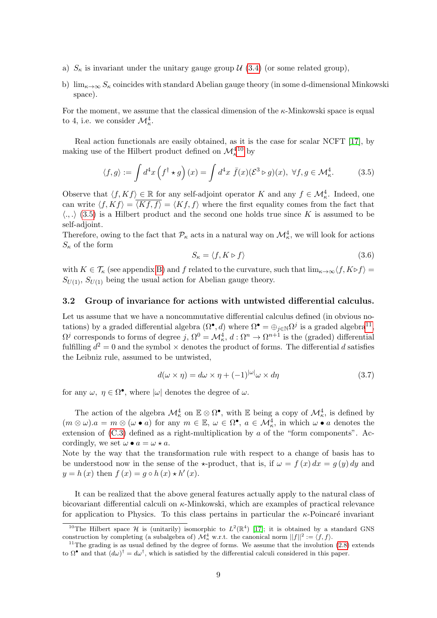- a)  $S_{\kappa}$  is invariant under the unitary gauge group  $\mathcal{U}(3.4)$  $\mathcal{U}(3.4)$  (or some related group),
- b)  $\lim_{\kappa\to\infty} S_{\kappa}$  coincides with standard Abelian gauge theory (in some d-dimensional Minkowski space).

For the moment, we assume that the classical dimension of the κ-Minkowski space is equal to 4, i.e. we consider  $\mathcal{M}_{\kappa}^4$ .

Real action functionals are easily obtained, as it is the case for scalar NCFT [\[17\]](#page-25-2), by making use of the Hilbert product defined on  $\mathcal{M}_{\kappa}^{4\,10}$  $\mathcal{M}_{\kappa}^{4\,10}$  $\mathcal{M}_{\kappa}^{4\,10}$  by

<span id="page-8-2"></span>
$$
\langle f, g \rangle := \int d^4x \left( f^\dagger \star g \right) (x) = \int d^4x \ \bar{f}(x) (\mathcal{E}^3 \triangleright g)(x), \ \forall f, g \in \mathcal{M}_\kappa^4. \tag{3.5}
$$

Observe that  $\langle f, Kf \rangle \in \mathbb{R}$  for any self-adjoint operator K and any  $f \in \mathcal{M}_{\kappa}^4$ . Indeed, one can write  $\langle f, Kf \rangle = \overline{\langle Kf, f \rangle} = \langle Kf, f \rangle$  where the first equality comes from the fact that  $\langle ., . \rangle$  [\(3.5\)](#page-8-2) is a Hilbert product and the second one holds true since K is assumed to be self-adjoint.

Therefore, owing to the fact that  $\mathcal{P}_\kappa$  acts in a natural way on  $\mathcal{M}^4_\kappa$ , we will look for actions  $S_{\kappa}$  of the form

<span id="page-8-4"></span>
$$
S_{\kappa} = \langle f, K \triangleright f \rangle \tag{3.6}
$$

with  $K \in \mathcal{T}_{\kappa}$  (see appendix [B\)](#page-21-1) and f related to the curvature, such that  $\lim_{\kappa \to \infty} \langle f, K \triangleright f \rangle =$  $S_{U(1)}$ ,  $S_{U(1)}$  being the usual action for Abelian gauge theory.

#### <span id="page-8-0"></span>3.2 Group of invariance for actions with untwisted differential calculus.

Let us assume that we have a noncommutative differential calculus defined (in obvious notations) by a graded differential algebra  $(\Omega^{\bullet}, d)$  where  $\Omega^{\bullet} = \bigoplus_{j \in \mathbb{N}} \Omega^{j}$  is a graded algebra<sup>[11](#page-8-3)</sup>,  $\Omega^j$  corresponds to forms of degree j,  $\Omega^0 = \mathcal{M}^4_\kappa$ ,  $d: \Omega^n \to \Omega^{n+1}$  is the (graded) differential fulfilling  $d^2 = 0$  and the symbol  $\times$  denotes the product of forms. The differential d satisfies the Leibniz rule, assumed to be untwisted,

<span id="page-8-5"></span>
$$
d(\omega \times \eta) = d\omega \times \eta + (-1)^{|\omega|} \omega \times d\eta \tag{3.7}
$$

for any  $\omega, \eta \in \Omega^{\bullet}$ , where  $|\omega|$  denotes the degree of  $\omega$ .

The action of the algebra  $\mathcal{M}^4_\kappa$  on  $\mathbb{E}\otimes\Omega^{\bullet}$ , with  $\mathbb{E}$  being a copy of  $\mathcal{M}^4_\kappa$ , is defined by  $(m \otimes \omega).a = m \otimes (\omega \bullet a)$  for any  $m \in \mathbb{E}, \omega \in \Omega^{\bullet}, a \in \mathcal{M}_{\kappa}^4$ , in which  $\omega \bullet a$  denotes the extension of  $(C.3)$  defined as a right-multiplication by a of the "form components". Accordingly, we set  $\omega \bullet a = \omega \star a$ .

Note by the way that the transformation rule with respect to a change of basis has to be understood now in the sense of the  $\star$ -product, that is, if  $\omega = f(x) dx = g(y) dy$  and  $y = h(x)$  then  $f(x) = g \circ h(x) \star h'(x)$ .

It can be realized that the above general features actually apply to the natural class of bicovariant differential calculi on  $\kappa$ -Minkowski, which are examples of practical relevance for application to Physics. To this class pertains in particular the  $\kappa$ -Poincaré invariant

<span id="page-8-1"></span><sup>&</sup>lt;sup>10</sup>The Hilbert space H is (unitarily) isomorphic to  $L^2(\mathbb{R}^4)$  [\[17\]](#page-25-2); it is obtained by a standard GNS construction by completing (a subalgebra of)  $\mathcal{M}_\kappa^4$  w.r.t. the canonical norm  $||f||^2 := \langle f, f \rangle$ .

<span id="page-8-3"></span> $11$ The grading is as usual defined by the degree of forms. We assume that the involution [\(2.8\)](#page-4-1) extends to  $\Omega^{\bullet}$  and that  $(d\omega)^{\dagger} = d\omega^{\dagger}$ , which is satisfied by the differential calculi considered in this paper.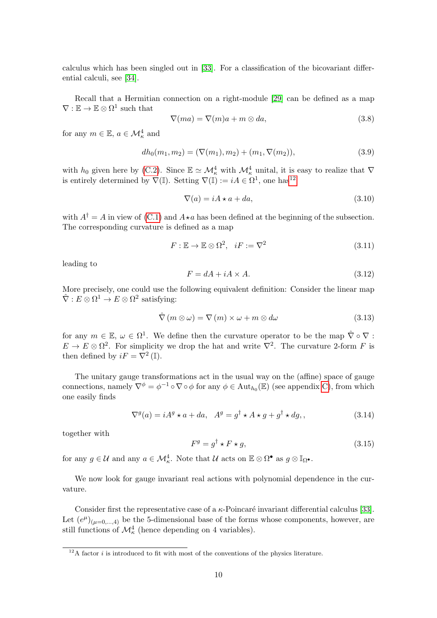calculus which has been singled out in [\[33\]](#page-26-1). For a classification of the bicovariant differential calculi, see [\[34\]](#page-26-2).

Recall that a Hermitian connection on a right-module [\[29\]](#page-25-14) can be defined as a map  $\nabla: \mathbb{E} \to \mathbb{E} \otimes \Omega^1$  such that

$$
\nabla(ma) = \nabla(m)a + m \otimes da,\tag{3.8}
$$

for any  $m \in \mathbb{E}$ ,  $a \in \mathcal{M}^4_{\kappa}$  and

$$
dh_0(m_1, m_2) = (\nabla(m_1), m_2) + (m_1, \nabla(m_2)), \tag{3.9}
$$

with  $h_0$  given here by [\(C.2\)](#page-23-3). Since  $\mathbb{E} \simeq \mathcal{M}^4_\kappa$  with  $\mathcal{M}^4_\kappa$  unital, it is easy to realize that  $\nabla$ is entirely determined by  $\nabla(\mathbb{I})$ . Setting  $\nabla(\mathbb{I}) := iA \in \Omega^1$ , one has<sup>[12](#page-9-0)</sup>

$$
\nabla(a) = iA \star a + da,\tag{3.10}
$$

with  $A^{\dagger} = A$  in view of [\(C.1\)](#page-23-4) and  $A \star a$  has been defined at the beginning of the subsection. The corresponding curvature is defined as a map

$$
F: \mathbb{E} \to \mathbb{E} \otimes \Omega^2, \quad iF := \nabla^2 \tag{3.11}
$$

leading to

$$
F = dA + iA \times A. \tag{3.12}
$$

More precisely, one could use the following equivalent definition: Consider the linear map  $\hat{\nabla}: E \otimes \Omega^1 \to E \otimes \Omega^2$  satisfying:

$$
\hat{\nabla}(m \otimes \omega) = \nabla(m) \times \omega + m \otimes d\omega \qquad (3.13)
$$

for any  $m \in \mathbb{E}, \omega \in \Omega^1$ . We define then the curvature operator to be the map  $\hat{\nabla} \circ \nabla$ :  $E \to E \otimes \Omega^2$ . For simplicity we drop the hat and write  $\nabla^2$ . The curvature 2-form F is then defined by  $iF = \nabla^2 (\mathbb{I}).$ 

The unitary gauge transformations act in the usual way on the (affine) space of gauge connections, namely  $\nabla^{\phi} = \phi^{-1} \circ \nabla \circ \phi$  for any  $\phi \in \text{Aut}_{h_0}(\mathbb{E})$  (see appendix [C\)](#page-23-1), from which one easily finds

<span id="page-9-2"></span>
$$
\nabla^{g}(a) = iA^{g} \star a + da, \quad A^{g} = g^{\dagger} \star A \star g + g^{\dagger} \star dg, \tag{3.14}
$$

together with

<span id="page-9-1"></span>
$$
F^g = g^\dagger \star F \star g,\tag{3.15}
$$

for any  $g \in \mathcal{U}$  and any  $a \in \mathcal{M}_{\kappa}^4$ . Note that  $\mathcal{U}$  acts on  $\mathbb{E} \otimes \Omega^{\bullet}$  as  $g \otimes \mathbb{I}_{\Omega^{\bullet}}$ .

We now look for gauge invariant real actions with polynomial dependence in the curvature.

Consider first the representative case of a  $\kappa$ -Poincaré invariant differential calculus [\[33\]](#page-26-1). Let  $(e^{\mu})_{(\mu=0,\dots,4)}$  be the 5-dimensional base of the forms whose components, however, are still functions of  $\mathcal{M}^4_{\kappa}$  (hence depending on 4 variables).

<span id="page-9-0"></span> $12A$  factor *i* is introduced to fit with most of the conventions of the physics literature.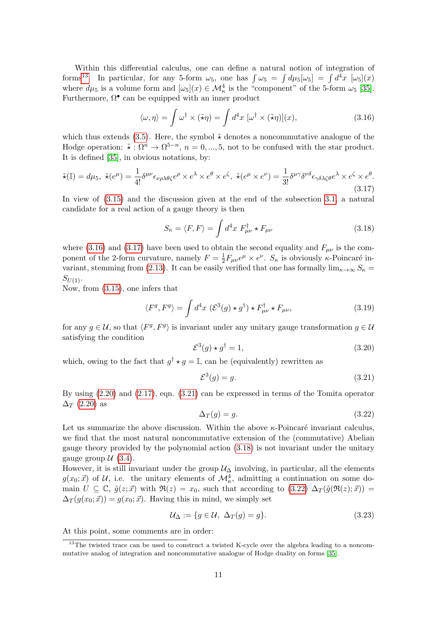Within this differential calculus, one can define a natural notion of integration of forms<sup>[13](#page-10-0)</sup>. In particular, for any 5-form  $\omega_5$ , one has  $\int \omega_5 = \int d\mu_5[\omega_5] = \int d^4x \; [\omega_5](x)$ where  $d\mu_5$  is a volume form and  $[\omega_5](x) \in \mathcal{M}^4_{\kappa}$  is the "component" of the 5-form  $\omega_5$  [\[35\]](#page-26-3). Furthermore,  $\Omega^{\bullet}$  can be equipped with an inner product

<span id="page-10-1"></span>
$$
\langle \omega, \eta \rangle = \int \omega^{\dagger} \times (\tilde{\star}\eta) = \int d^4x \, [\omega^{\dagger} \times (\tilde{\star}\eta)](x), \tag{3.16}
$$

which thus extends [\(3.5\)](#page-8-2). Here, the symbol  $\tilde{\star}$  denotes a noncommutative analogue of the Hodge operation:  $\tilde{\star}: \Omega^n \to \Omega^{5-n}$ ,  $n = 0, ..., 5$ , not to be confused with the star product. It is defined [\[35\]](#page-26-3), in obvious notations, by:

<span id="page-10-2"></span>
$$
\tilde{\star}(\mathbb{I}) = d\mu_5, \; \tilde{\star}(e^{\mu}) = \frac{1}{4!} \delta^{\mu\nu} \epsilon_{\nu\rho\lambda\theta\zeta} e^{\rho} \times e^{\lambda} \times e^{\theta} \times e^{\zeta}, \; \tilde{\star}(e^{\mu} \times e^{\nu}) = \frac{1}{3!} \delta^{\mu\gamma} \delta^{\nu\delta} \epsilon_{\gamma\delta\lambda\zeta\theta} e^{\lambda} \times e^{\zeta} \times e^{\theta}.
$$
\n(3.17)

In view of [\(3.15\)](#page-9-1) and the discussion given at the end of the subsection [3.1,](#page-7-1) a natural candidate for a real action of a gauge theory is then

<span id="page-10-4"></span>
$$
S_{\kappa} = \langle F, F \rangle = \int d^4x \ F_{\mu\nu}^{\dagger} \star F_{\mu\nu}
$$
 (3.18)

where [\(3.16\)](#page-10-1) and [\(3.17\)](#page-10-2) have been used to obtain the second equality and  $F_{\mu\nu}$  is the component of the 2-form curvature, namely  $F = \frac{1}{2}$  $\frac{1}{2}F_{\mu\nu}e^{\mu} \times e^{\nu}$ .  $S_{\kappa}$  is obviously  $\kappa$ -Poincaré in-variant, stemming from [\(2.13\)](#page-5-7). It can be easily verified that one has formally  $\lim_{\kappa \to \infty} S_{\kappa} =$  $S_{U(1)}$ .

Now, from [\(3.15\)](#page-9-1), one infers that

<span id="page-10-6"></span>
$$
\langle F^g, F^g \rangle = \int d^4x \, (\mathcal{E}^3(g) \star g^\dagger) \star F_{\mu\nu}^\dagger \star F_{\mu\nu}, \tag{3.19}
$$

for any  $g \in \mathcal{U}$ , so that  $\langle F^g, F^g \rangle$  is invariant under any unitary gauge transformation  $g \in \mathcal{U}$ satisfying the condition

$$
\mathcal{E}^3(g) \star g^\dagger = 1,\tag{3.20}
$$

which, owing to the fact that  $g^{\dagger} \star g = \mathbb{I}$ , can be (equivalently) rewritten as

<span id="page-10-3"></span>
$$
\mathcal{E}^3(g) = g. \tag{3.21}
$$

By using [\(2.20\)](#page-6-5) and [\(2.17\)](#page-6-4), eqn. [\(3.21\)](#page-10-3) can be expressed in terms of the Tomita operator  $\Delta_T$  [\(2.20\)](#page-6-5) as

<span id="page-10-5"></span>
$$
\Delta_T(g) = g. \tag{3.22}
$$

Let us summarize the above discussion. Within the above  $\kappa$ -Poincaré invariant calculus, we find that the most natural noncommutative extension of the (commutative) Abelian gauge theory provided by the polynomial action [\(3.18\)](#page-10-4) is not invariant under the unitary gauge group  $\mathcal{U}(3.4)$  $\mathcal{U}(3.4)$ .

However, it is still invariant under the group  $\mathcal{U}_{\Delta}$  involving, in particular, all the elements  $g(x_0; \vec{x})$  of U, i.e. the unitary elements of  $\mathcal{M}_{\kappa}^4$ , admitting a continuation on some domain  $U \subseteq \mathbb{C}$ ,  $\tilde{g}(z; \vec{x})$  with  $\Re(z) = x_0$ , such that according to  $(3.22)$   $\Delta_T(\tilde{g}(\Re(z); \vec{x})) =$  $\Delta_T(g(x_0; \vec{x})) = g(x_0; \vec{x})$ . Having this in mind, we simply set

$$
\mathcal{U}_{\Delta} := \{ g \in \mathcal{U}, \ \Delta_T(g) = g \}. \tag{3.23}
$$

At this point, some comments are in order:

<span id="page-10-0"></span><sup>&</sup>lt;sup>13</sup>The twisted trace can be used to construct a twisted K-cycle over the algebra leading to a noncommutative analog of integration and noncommutative analogue of Hodge duality on forms [\[35\]](#page-26-3).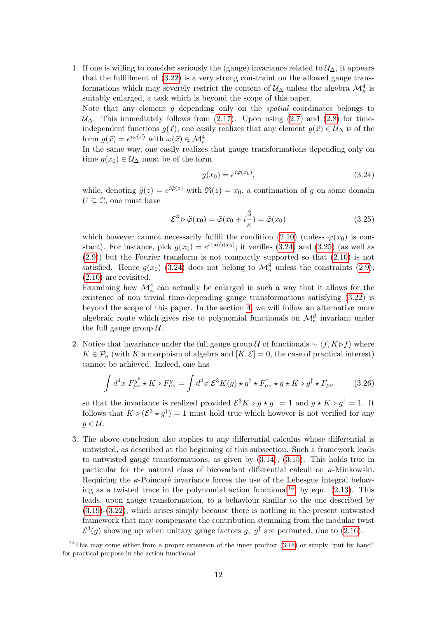1. If one is willing to consider seriously the (gauge) invariance related to  $\mathcal{U}_{\Delta}$ , it appears that the fulfillment of [\(3.22\)](#page-10-5) is a very strong constraint on the allowed gauge transformations which may severely restrict the content of  $\mathcal{U}_{\Delta}$  unless the algebra  $\mathcal{M}^4_{\kappa}$  is suitably enlarged, a task which is beyond the scope of this paper.

Note that any element g depending only on the spatial coordinates belongs to  $U_\Delta$ . This immediately follows from [\(2.17\)](#page-6-4). Upon using [\(2.7\)](#page-4-0) and [\(2.8\)](#page-4-1) for timeindependent functions  $g(\vec{x})$ , one easily realizes that any element  $g(\vec{x}) \in \mathcal{U}_{\Delta}$  is of the form  $g(\vec{x}) = e^{i\omega(\vec{x})}$  with  $\omega(\vec{x}) \in \mathcal{M}_{\kappa}^4$ .

In the same way, one easily realizes that gauge transformations depending only on time  $g(x_0) \in \mathcal{U}_{\Delta}$  must be of the form

<span id="page-11-0"></span>
$$
g(x_0) = e^{i\varphi(x_0)},
$$
\n(3.24)

while, denoting  $\tilde{g}(z) = e^{i\tilde{\varphi}(z)}$  with  $\Re(z) = x_0$ , a continuation of g on some domain  $U \subseteq \mathbb{C}$ , one must have

<span id="page-11-1"></span>
$$
\mathcal{E}^3 \triangleright \tilde{\varphi}(x_0) = \tilde{\varphi}(x_0 + i\frac{3}{\kappa}) = \tilde{\varphi}(x_0)
$$
\n(3.25)

which however cannot necessarily fulfill the condition [\(2.10\)](#page-4-5) (unless  $\varphi(x_0)$  is constant). For instance, pick  $g(x_0) = e^{i \tanh(x_0)}$ ; it verifies [\(3.24\)](#page-11-0) and [\(3.25\)](#page-11-1) (as well as [\(2.9\)](#page-4-4)) but the Fourier transform is not compactly supported so that [\(2.10\)](#page-4-5) is not satisfied. Hence  $g(x_0)$  [\(3.24\)](#page-11-0) does not belong to  $\mathcal{M}_\kappa^4$  unless the constraints [\(2.9\)](#page-4-4), [\(2.10\)](#page-4-5) are revisited.

Examining how  $\mathcal{M}^4_{\kappa}$  can actually be enlarged in such a way that it allows for the existence of non trivial time-depending gauge transformations satisfying [\(3.22\)](#page-10-5) is beyond the scope of this paper. In the section [4,](#page-12-0) we will follow an alternative more algebraic route which gives rise to polynomial functionals on  $\mathcal{M}^d_{\kappa}$  invariant under the full gauge group  $U$ .

2. Notice that invariance under the full gauge group U of functionals  $\sim \langle f, K \triangleright f \rangle$  where  $K \in \mathcal{P}_{\kappa}$  (with K a morphism of algebra and  $[K, \mathcal{E}] = 0$ , the case of practical interest) cannot be achieved. Indeed, one has

$$
\int d^4x \ F_{\mu\nu}^{g^{\dagger}} \star K \rhd F_{\mu\nu}^{g} = \int d^4x \ \mathcal{E}^3 K(g) \star g^{\dagger} \star F_{\mu\nu}^{\dagger} \star g \star K \rhd g^{\dagger} \star F_{\mu\nu}
$$
 (3.26)

so that the invariance is realized provided  $\mathcal{E}^3 K \triangleright g \star g^{\dagger} = 1$  and  $g \star K \triangleright g^{\dagger} = 1$ . It follows that  $K \triangleright (\mathcal{E}^3 \star g^{\dagger}) = 1$  must hold true which however is not verified for any  $g \in \mathcal{U}$ .

3. The above conclusion also applies to any differential calculus whose differential is untwisted, as described at the beginning of this subsection. Such a framework leads to untwisted gauge transformations, as given by [\(3.14\)](#page-9-2), [\(3.15\)](#page-9-1). This holds true in particular for the natural class of bicovariant differential calculi on  $\kappa$ -Minkowski. Requiring the  $\kappa$ -Poincaré invariance forces the use of the Lebesgue integral behav-ing as a twisted trace in the polynomial action functional<sup>[14](#page-11-2)</sup>, by eqn.  $(2.13)$ . This leads, upon gauge transformation, to a behaviour similar to the one described by [\(3.19\)](#page-10-6)-[\(3.22\)](#page-10-5), which arises simply because there is nothing in the present untwisted framework that may compensate the contribution stemming from the modular twist  $\mathcal{E}^3(g)$  showing up when unitary gauge factors g,  $g^{\dagger}$  are permuted, due to [\(2.16\)](#page-5-4).

<span id="page-11-2"></span><sup>&</sup>lt;sup>14</sup>This may come either from a proper extension of the inner product  $(3.16)$  or simply "put by hand" for practical purpose in the action functional.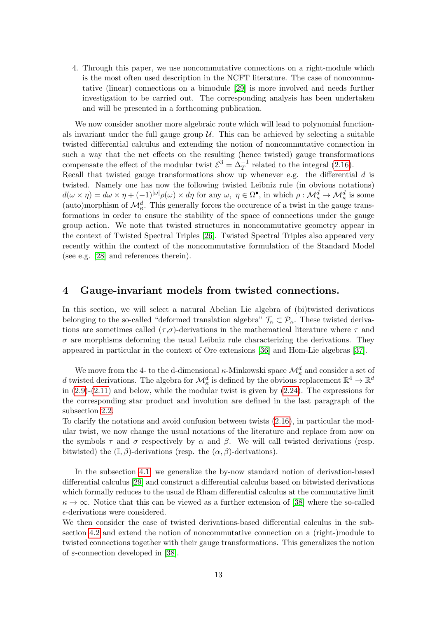4. Through this paper, we use noncommutative connections on a right-module which is the most often used description in the NCFT literature. The case of noncommutative (linear) connections on a bimodule [\[29\]](#page-25-14) is more involved and needs further investigation to be carried out. The corresponding analysis has been undertaken and will be presented in a forthcoming publication.

We now consider another more algebraic route which will lead to polynomial functionals invariant under the full gauge group  $\mathcal U$ . This can be achieved by selecting a suitable twisted differential calculus and extending the notion of noncommutative connection in such a way that the net effects on the resulting (hence twisted) gauge transformations compensate the effect of the modular twist  $\mathcal{E}^3 = \Delta_T^{-1}$  related to the integral [\(2.16\)](#page-5-4). Recall that twisted gauge transformations show up whenever e.g. the differential  $d$  is twisted. Namely one has now the following twisted Leibniz rule (in obvious notations)  $d(\omega \times \eta) = d\omega \times \eta + (-1)^{|\omega|} \rho(\omega) \times d\eta$  for any  $\omega, \ \eta \in \Omega^{\bullet}$ , in which  $\rho : \mathcal{M}_{\kappa}^d \to \mathcal{M}_{\kappa}^d$  is some (auto)morphism of  $\mathcal{M}_{\kappa}^d$ . This generally forces the occurence of a twist in the gauge transformations in order to ensure the stability of the space of connections under the gauge group action. We note that twisted structures in noncommutative geometry appear in the context of Twisted Spectral Triples [\[26\]](#page-25-11). Twisted Spectral Triples also appeared very recently within the context of the noncommutative formulation of the Standard Model (see e.g. [\[28\]](#page-25-13) and references therein).

## <span id="page-12-0"></span>4 Gauge-invariant models from twisted connections.

In this section, we will select a natural Abelian Lie algebra of (bi)twisted derivations belonging to the so-called "deformed translation algebra"  $\mathcal{T}_{\kappa} \subset \mathcal{P}_{\kappa}$ . These twisted derivations are sometimes called  $(\tau,\sigma)$ -derivations in the mathematical literature where  $\tau$  and  $\sigma$  are morphisms deforming the usual Leibniz rule characterizing the derivations. They appeared in particular in the context of Ore extensions [\[36\]](#page-26-4) and Hom-Lie algebras [\[37\]](#page-26-5).

We move from the 4- to the d-dimensional  $\kappa$ -Minkowski space  $\mathcal{M}^d_{\kappa}$  and consider a set of d twisted derivations. The algebra for  $\mathcal{M}^d_\kappa$  is defined by the obvious replacement  $\mathbb{R}^4 \to \mathbb{R}^d$ in  $(2.9)-(2.11)$  $(2.9)-(2.11)$  and below, while the modular twist is given by  $(2.24)$ . The expressions for the corresponding star product and involution are defined in the last paragraph of the subsection [2.2.](#page-5-0)

To clarify the notations and avoid confusion between twists [\(2.16\)](#page-5-4), in particular the modular twist, we now change the usual notations of the literature and replace from now on the symbols  $\tau$  and  $\sigma$  respectively by  $\alpha$  and  $\beta$ . We will call twisted derivations (resp. bitwisted) the  $(\mathbb{I}, \beta)$ -derivations (resp. the  $(\alpha, \beta)$ -derivations).

In the subsection [4.1,](#page-13-0) we generalize the by-now standard notion of derivation-based differential calculus [\[29\]](#page-25-14) and construct a differential calculus based on bitwisted derivations which formally reduces to the usual de Rham differential calculus at the commutative limit  $\kappa \to \infty$ . Notice that this can be viewed as a further extension of [\[38\]](#page-26-6) where the so-called  $\epsilon$ -derivations were considered.

We then consider the case of twisted derivations-based differential calculus in the subsection [4.2](#page-15-0) and extend the notion of noncommutative connection on a (right-)module to twisted connections together with their gauge transformations. This generalizes the notion of ε-connection developed in [\[38\]](#page-26-6).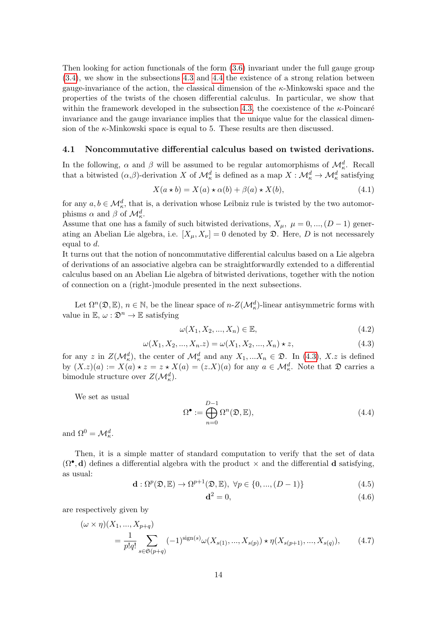Then looking for action functionals of the form [\(3.6\)](#page-8-4) invariant under the full gauge group [\(3.4\)](#page-7-7), we show in the subsections [4.3](#page-16-0) and [4.4](#page-18-0) the existence of a strong relation between gauge-invariance of the action, the classical dimension of the  $\kappa$ -Minkowski space and the properties of the twists of the chosen differential calculus. In particular, we show that within the framework developed in the subsection [4.3,](#page-16-0) the coexistence of the  $\kappa$ -Poincaré invariance and the gauge invariance implies that the unique value for the classical dimension of the  $\kappa$ -Minkowski space is equal to 5. These results are then discussed.

#### <span id="page-13-0"></span>4.1 Noncommutative differential calculus based on twisted derivations.

In the following,  $\alpha$  and  $\beta$  will be assumed to be regular automorphisms of  $\mathcal{M}_{\kappa}^d$ . Recall that a bitwisted  $(\alpha,\beta)$ -derivation X of  $\mathcal{M}_\kappa^d$  is defined as a map  $X:\mathcal{M}_\kappa^d\to\mathcal{M}_\kappa^d$  satisfying

<span id="page-13-3"></span>
$$
X(a \star b) = X(a) \star \alpha(b) + \beta(a) \star X(b), \tag{4.1}
$$

for any  $a, b \in \mathcal{M}_{\kappa}^d$ , that is, a derivation whose Leibniz rule is twisted by the two automorphisms  $\alpha$  and  $\beta$  of  $\mathcal{M}_{\kappa}^d$ .

Assume that one has a family of such bitwisted derivations,  $X_{\mu}$ ,  $\mu = 0, ..., (D-1)$  generating an Abelian Lie algebra, i.e.  $[X_\mu, X_\nu] = 0$  denoted by  $\mathfrak{D}$ . Here, D is not necessarely equal to d.

It turns out that the notion of noncommutative differential calculus based on a Lie algebra of derivations of an associative algebra can be straightforwardly extended to a differential calculus based on an Abelian Lie algebra of bitwisted derivations, together with the notion of connection on a (right-)module presented in the next subsections.

Let  $\Omega^n(\mathfrak{D}, \mathbb{E}), n \in \mathbb{N}$ , be the linear space of  $n-Z(\mathcal{M}_\kappa^d)$ -linear antisymmetric forms with value in  $\mathbb{E}, \omega : \mathfrak{D}^n \to \mathbb{E}$  satisfying

$$
\omega(X_1, X_2, \dots, X_n) \in \mathbb{E},\tag{4.2}
$$

<span id="page-13-1"></span>
$$
\omega(X_1, X_2, ..., X_n, z) = \omega(X_1, X_2, ..., X_n) \star z,
$$
\n(4.3)

for any z in  $Z(\mathcal{M}_\kappa^d)$ , the center of  $\mathcal{M}_\kappa^d$  and any  $X_1,...X_n \in \mathfrak{D}$ . In [\(4.3\)](#page-13-1), X.z is defined by  $(X \cdot z)(a) := X(a) \star z = z \star X(a) = (z \cdot X)(a)$  for any  $a \in M_{\kappa}^d$ . Note that  $\mathfrak{D}$  carries a bimodule structure over  $Z(\mathcal{M}^d_{\kappa}).$ 

We set as usual

$$
\Omega^{\bullet} := \bigoplus_{n=0}^{D-1} \Omega^n(\mathfrak{D}, \mathbb{E}),\tag{4.4}
$$

and  $\Omega^0 = \mathcal{M}_\kappa^d$ .

Then, it is a simple matter of standard computation to verify that the set of data  $(\Omega^{\bullet}, \mathbf{d})$  defines a differential algebra with the product  $\times$  and the differential **d** satisfying, as usual:

$$
\mathbf{d}: \Omega^p(\mathfrak{D}, \mathbb{E}) \to \Omega^{p+1}(\mathfrak{D}, \mathbb{E}), \ \forall p \in \{0, ..., (D-1)\}
$$
(4.5)

<span id="page-13-2"></span>
$$
\mathbf{d}^2 = 0,\tag{4.6}
$$

are respectively given by

$$
(\omega \times \eta)(X_1, ..., X_{p+q})
$$
  
=  $\frac{1}{p!q!} \sum_{s \in \mathfrak{S}(p+q)} (-1)^{\text{sign}(s)} \omega(X_{s(1)}, ..., X_{s(p)}) \star \eta(X_{s(p+1)}, ..., X_{s(q)}),$  (4.7)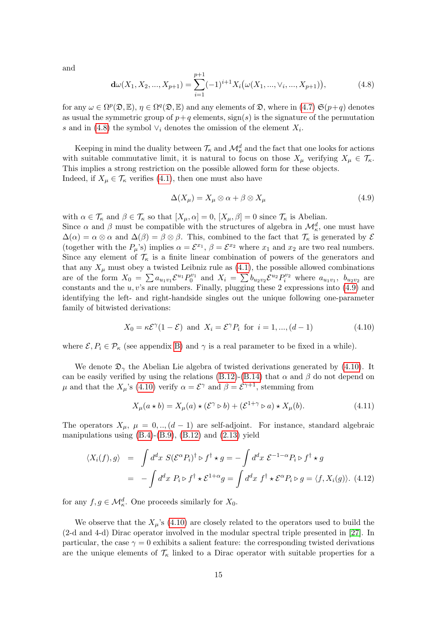and

<span id="page-14-0"></span>
$$
\mathbf{d}\omega(X_1, X_2, ..., X_{p+1}) = \sum_{i=1}^{p+1} (-1)^{i+1} X_i \big(\omega(X_1, ..., \vee_i, ..., X_{p+1})\big),\tag{4.8}
$$

for any  $\omega \in \Omega^p(\mathfrak{D}, \mathbb{E}), \eta \in \Omega^q(\mathfrak{D}, \mathbb{E})$  and any elements of  $\mathfrak{D}$ , where in [\(4.7\)](#page-13-2)  $\mathfrak{S}(p+q)$  denotes as usual the symmetric group of  $p+q$  elements,  $sign(s)$  is the signature of the permutation s and in [\(4.8\)](#page-14-0) the symbol  $\vee_i$  denotes the omission of the element  $X_i$ .

Keeping in mind the duality between  $\mathcal{T}_{\kappa}$  and  $\mathcal{M}^d_{\kappa}$  and the fact that one looks for actions with suitable commutative limit, it is natural to focus on those  $X_{\mu}$  verifying  $X_{\mu} \in \mathcal{T}_{\kappa}$ . This implies a strong restriction on the possible allowed form for these objects. Indeed, if  $X_{\mu} \in \mathcal{T}_{\kappa}$  verifies [\(4.1\)](#page-13-3), then one must also have

<span id="page-14-1"></span>
$$
\Delta(X_{\mu}) = X_{\mu} \otimes \alpha + \beta \otimes X_{\mu} \tag{4.9}
$$

with  $\alpha \in \mathcal{T}_{\kappa}$  and  $\beta \in \mathcal{T}_{\kappa}$  so that  $[X_{\mu}, \alpha] = 0$ ,  $[X_{\mu}, \beta] = 0$  since  $\mathcal{T}_{\kappa}$  is Abelian.

Since  $\alpha$  and  $\beta$  must be compatible with the structures of algebra in  $\mathcal{M}_{\kappa}^d$ , one must have  $\Delta(\alpha) = \alpha \otimes \alpha$  and  $\Delta(\beta) = \beta \otimes \beta$ . This, combined to the fact that  $\mathcal{T}_{\kappa}$  is generated by  $\mathcal{E}_{\kappa}$ (together with the  $P_\mu$ 's) implies  $\alpha = \mathcal{E}^{x_1}$ ,  $\beta = \mathcal{E}^{x_2}$  where  $x_1$  and  $x_2$  are two real numbers. Since any element of  $\mathcal{T}_{\kappa}$  is a finite linear combination of powers of the generators and that any  $X_{\mu}$  must obey a twisted Leibniz rule as [\(4.1\)](#page-13-3), the possible allowed combinations are of the form  $X_0 = \sum a_{u_1v_1} \mathcal{E}^{u_1} P_0^{v_1}$  and  $X_i = \sum b_{u_2v_2} \mathcal{E}^{u_2} P_i^{v_2}$  where  $a_{u_1v_1}$ ,  $b_{u_2v_2}$  are constants and the  $u, v$ 's are numbers. Finally, plugging these 2 expressions into  $(4.9)$  and identifying the left- and right-handside singles out the unique following one-parameter family of bitwisted derivations:

<span id="page-14-2"></span>
$$
X_0 = \kappa \mathcal{E}^{\gamma} (1 - \mathcal{E}) \text{ and } X_i = \mathcal{E}^{\gamma} P_i \text{ for } i = 1, ..., (d - 1)
$$
 (4.10)

where  $\mathcal{E}, P_i \in \mathcal{P}_\kappa$  (see appendix [B\)](#page-21-1) and  $\gamma$  is a real parameter to be fixed in a while).

We denote  $\mathfrak{D}_{\gamma}$  the Abelian Lie algebra of twisted derivations generated by [\(4.10\)](#page-14-2). It can be easily verified by using the relations [\(B.12\)](#page-22-0)-[\(B.14\)](#page-22-1) that  $\alpha$  and  $\beta$  do not depend on μ and that the  $X_\mu$ 's [\(4.10\)](#page-14-2) verify  $\alpha = \mathcal{E}^\gamma$  and  $\beta = \mathcal{E}^{\gamma+1}$ , stemming from

<span id="page-14-3"></span>
$$
X_{\mu}(a \star b) = X_{\mu}(a) \star (\mathcal{E}^{\gamma} \triangleright b) + (\mathcal{E}^{1+\gamma} \triangleright a) \star X_{\mu}(b). \tag{4.11}
$$

The operators  $X_{\mu}$ ,  $\mu = 0, \ldots, (d-1)$  are self-adjoint. For instance, standard algebraic manipulations using  $(B.4)-(B.9)$  $(B.4)-(B.9)$ ,  $(B.12)$  and  $(2.13)$  yield

$$
\langle X_i(f), g \rangle = \int d^d x \ S(\mathcal{E}^\alpha P_i)^\dagger \triangleright f^\dagger \star g = -\int d^d x \ \mathcal{E}^{-1-\alpha} P_i \triangleright f^\dagger \star g
$$
  
= 
$$
-\int d^d x \ P_i \triangleright f^\dagger \star \mathcal{E}^{1+\alpha} g = \int d^d x \ f^\dagger \star \mathcal{E}^\alpha P_i \triangleright g = \langle f, X_i(g) \rangle. \tag{4.12}
$$

for any  $f, g \in \mathcal{M}_{\kappa}^d$ . One proceeds similarly for  $X_0$ .

We observe that the  $X_\mu$ 's [\(4.10\)](#page-14-2) are closely related to the operators used to build the (2-d and 4-d) Dirac operator involved in the modular spectral triple presented in [\[27\]](#page-25-12). In particular, the case  $\gamma = 0$  exhibits a salient feature: the corresponding twisted derivations are the unique elements of  $\mathcal{T}_{\kappa}$  linked to a Dirac operator with suitable properties for a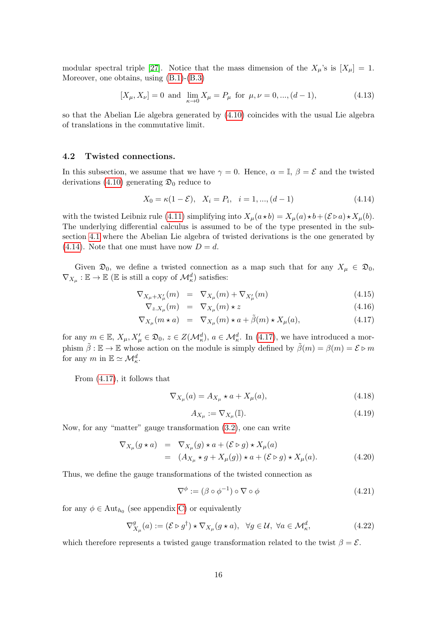modular spectral triple [\[27\]](#page-25-12). Notice that the mass dimension of the  $X_\mu$ 's is  $[X_\mu]=1$ . Moreover, one obtains, using [\(B.1\)](#page-22-4)-[\(B.3\)](#page-22-5)

$$
[X_{\mu}, X_{\nu}] = 0 \text{ and } \lim_{\kappa \to 0} X_{\mu} = P_{\mu} \text{ for } \mu, \nu = 0, ..., (d - 1), \tag{4.13}
$$

so that the Abelian Lie algebra generated by [\(4.10\)](#page-14-2) coincides with the usual Lie algebra of translations in the commutative limit.

#### <span id="page-15-0"></span>4.2 Twisted connections.

In this subsection, we assume that we have  $\gamma = 0$ . Hence,  $\alpha = \mathbb{I}, \beta = \mathcal{E}$  and the twisted derivations [\(4.10\)](#page-14-2) generating  $\mathfrak{D}_0$  reduce to

<span id="page-15-1"></span>
$$
X_0 = \kappa(1 - \mathcal{E}), \quad X_i = P_i, \quad i = 1, ..., (d - 1)
$$
\n
$$
(4.14)
$$

with the twisted Leibniz rule [\(4.11\)](#page-14-3) simplifying into  $X_\mu(a \star b) = X_\mu(a) \star b + (\mathcal{E} \triangleright a) \star X_\mu(b)$ . The underlying differential calculus is assumed to be of the type presented in the subsection [4.1](#page-13-0) where the Abelian Lie algebra of twisted derivations is the one generated by  $(4.14)$ . Note that one must have now  $D = d$ .

Given  $\mathfrak{D}_0$ , we define a twisted connection as a map such that for any  $X_\mu \in \mathfrak{D}_0$ ,  $\nabla_{X_\mu} : \mathbb{E} \to \mathbb{E}$  ( $\mathbb{E}$  is still a copy of  $\mathcal{M}_\kappa^d$ ) satisfies:

<span id="page-15-2"></span>
$$
\nabla_{X_{\mu}+X'_{\mu}}(m) = \nabla_{X_{\mu}}(m) + \nabla_{X'_{\mu}}(m) \tag{4.15}
$$

$$
\nabla_{z.X_{\mu}}(m) = \nabla_{X_{\mu}}(m) \star z \tag{4.16}
$$

$$
\nabla_{X_{\mu}}(m \star a) = \nabla_{X_{\mu}}(m) \star a + \tilde{\beta}(m) \star X_{\mu}(a), \tag{4.17}
$$

for any  $m \in \mathbb{E}, X_{\mu}, X_{\mu}' \in \mathfrak{D}_0, z \in Z(\mathcal{M}_{\kappa}^d), a \in \mathcal{M}_{\kappa}^d$ . In [\(4.17\)](#page-15-2), we have introduced a morphism  $\tilde{\beta} : \mathbb{E} \to \mathbb{E}$  whose action on the module is simply defined by  $\tilde{\beta}(m) = \beta(m) = \mathcal{E} \triangleright m$ for any  $m$  in  $\mathbb{E} \simeq \mathcal{M}_\kappa^d$ .

From [\(4.17\)](#page-15-2), it follows that

$$
\nabla_{X_{\mu}}(a) = A_{X_{\mu}} \star a + X_{\mu}(a), \tag{4.18}
$$

$$
A_{X_{\mu}} := \nabla_{X_{\mu}}(\mathbb{I}).\tag{4.19}
$$

Now, for any "matter" gauge transformation [\(3.2\)](#page-7-4), one can write

$$
\nabla_{X_{\mu}}(g \star a) = \nabla_{X_{\mu}}(g) \star a + (\mathcal{E} \triangleright g) \star X_{\mu}(a)
$$
  
\n
$$
= (A_{X_{\mu}} \star g + X_{\mu}(g)) \star a + (\mathcal{E} \triangleright g) \star X_{\mu}(a). \tag{4.20}
$$

Thus, we define the gauge transformations of the twisted connection as

$$
\nabla^{\phi} := (\beta \circ \phi^{-1}) \circ \nabla \circ \phi \tag{4.21}
$$

for any  $\phi \in \text{Aut}_{h_0}$  (see appendix [C\)](#page-23-1) or equivalently

$$
\nabla_{X_{\mu}}^{g}(a) := (\mathcal{E} \triangleright g^{\dagger}) \star \nabla_{X_{\mu}} (g \star a), \ \ \forall g \in \mathcal{U}, \ \forall a \in \mathcal{M}_{\kappa}^{d}, \tag{4.22}
$$

which therefore represents a twisted gauge transformation related to the twist  $\beta = \mathcal{E}$ .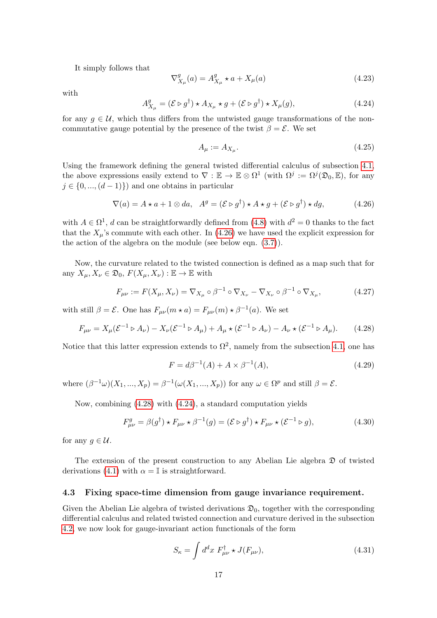It simply follows that

$$
\nabla_{X_{\mu}}^{g}(a) = A_{X_{\mu}}^{g} \star a + X_{\mu}(a)
$$
\n(4.23)

with

<span id="page-16-3"></span>
$$
A_{X_{\mu}}^{g} = (\mathcal{E} \triangleright g^{\dagger}) \star A_{X_{\mu}} \star g + (\mathcal{E} \triangleright g^{\dagger}) \star X_{\mu}(g), \tag{4.24}
$$

for any  $q \in \mathcal{U}$ , which thus differs from the untwisted gauge transformations of the noncommutative gauge potential by the presence of the twist  $\beta = \mathcal{E}$ . We set

$$
A_{\mu} := A_{X_{\mu}}.\tag{4.25}
$$

Using the framework defining the general twisted differential calculus of subsection [4.1,](#page-13-0) the above expressions easily extend to  $\nabla : \mathbb{E} \to \mathbb{E} \otimes \Omega^1$  (with  $\Omega^j := \Omega^j(\mathfrak{D}_0, \mathbb{E})$ , for any  $j \in \{0, ..., (d-1)\}\$  and one obtains in particular

<span id="page-16-1"></span>
$$
\nabla(a) = A \star a + 1 \otimes da, \quad A^g = (\mathcal{E} \triangleright g^\dagger) \star A \star g + (\mathcal{E} \triangleright g^\dagger) \star dg,
$$
 (4.26)

with  $A \in \Omega^1$ , d can be straightforwardly defined from [\(4.8\)](#page-14-0) with  $d^2 = 0$  thanks to the fact that the  $X_{\mu}$ 's commute with each other. In [\(4.26\)](#page-16-1) we have used the explicit expression for the action of the algebra on the module (see below eqn. [\(3.7\)](#page-8-5)).

Now, the curvature related to the twisted connection is defined as a map such that for any  $X_{\mu}, X_{\nu} \in \mathfrak{D}_0$ ,  $F(X_{\mu}, X_{\nu}): \mathbb{E} \to \mathbb{E}$  with

$$
F_{\mu\nu} := F(X_{\mu}, X_{\nu}) = \nabla_{X_{\mu}} \circ \beta^{-1} \circ \nabla_{X_{\nu}} - \nabla_{X_{\nu}} \circ \beta^{-1} \circ \nabla_{X_{\mu}}, \tag{4.27}
$$

with still  $\beta = \mathcal{E}$ . One has  $F_{\mu\nu}(m \star a) = F_{\mu\nu}(m) \star \beta^{-1}(a)$ . We set

<span id="page-16-2"></span>
$$
F_{\mu\nu} = X_{\mu}(\mathcal{E}^{-1} \triangleright A_{\nu}) - X_{\nu}(\mathcal{E}^{-1} \triangleright A_{\mu}) + A_{\mu} \star (\mathcal{E}^{-1} \triangleright A_{\nu}) - A_{\nu} \star (\mathcal{E}^{-1} \triangleright A_{\mu}). \tag{4.28}
$$

Notice that this latter expression extends to  $\Omega^2$ , namely from the subsection [4.1,](#page-13-0) one has

$$
F = d\beta^{-1}(A) + A \times \beta^{-1}(A),
$$
\n(4.29)

where  $(\beta^{-1}\omega)(X_1, ..., X_p) = \beta^{-1}(\omega(X_1, ..., X_p))$  for any  $\omega \in \Omega^p$  and still  $\beta = \mathcal{E}$ .

Now, combining [\(4.28\)](#page-16-2) with [\(4.24\)](#page-16-3), a standard computation yields

<span id="page-16-4"></span>
$$
F_{\mu\nu}^{g} = \beta(g^{\dagger}) \star F_{\mu\nu} \star \beta^{-1}(g) = (\mathcal{E} \triangleright g^{\dagger}) \star F_{\mu\nu} \star (\mathcal{E}^{-1} \triangleright g), \tag{4.30}
$$

for any  $g \in \mathcal{U}$ .

The extension of the present construction to any Abelian Lie algebra  $\mathfrak D$  of twisted derivations [\(4.1\)](#page-13-3) with  $\alpha = \mathbb{I}$  is straightforward.

#### <span id="page-16-0"></span>4.3 Fixing space-time dimension from gauge invariance requirement.

Given the Abelian Lie algebra of twisted derivations  $\mathfrak{D}_0$ , together with the corresponding differential calculus and related twisted connection and curvature derived in the subsection [4.2,](#page-15-0) we now look for gauge-invariant action functionals of the form

<span id="page-16-5"></span>
$$
S_{\kappa} = \int d^d x \ F_{\mu\nu}^{\dagger} \star J(F_{\mu\nu}), \tag{4.31}
$$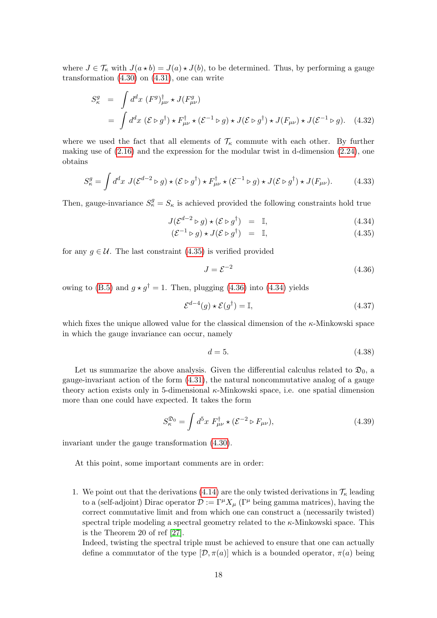where  $J \in \mathcal{T}_{\kappa}$  with  $J(a * b) = J(a) * J(b)$ , to be determined. Thus, by performing a gauge transformation  $(4.30)$  on  $(4.31)$ , one can write

$$
S_{\kappa}^{g} = \int d^{d}x \, (F^{g})_{\mu\nu}^{\dagger} \star J(F_{\mu\nu}^{g})
$$
  
= 
$$
\int d^{d}x \, (\mathcal{E} \triangleright g^{\dagger}) \star F_{\mu\nu}^{\dagger} \star (\mathcal{E}^{-1} \triangleright g) \star J(\mathcal{E} \triangleright g^{\dagger}) \star J(F_{\mu\nu}) \star J(\mathcal{E}^{-1} \triangleright g). \quad (4.32)
$$

where we used the fact that all elements of  $\mathcal{T}_{\kappa}$  commute with each other. By further making use of  $(2.16)$  and the expression for the modular twist in d-dimension  $(2.24)$ , one obtains

$$
S_{\kappa}^{g} = \int d^{d}x \ J(\mathcal{E}^{d-2} \triangleright g) \star (\mathcal{E} \triangleright g^{\dagger}) \star F_{\mu\nu}^{\dagger} \star (\mathcal{E}^{-1} \triangleright g) \star J(\mathcal{E} \triangleright g^{\dagger}) \star J(F_{\mu\nu}). \tag{4.33}
$$

Then, gauge-invariance  $S_{\kappa}^g = S_{\kappa}$  is achieved provided the following constraints hold true

<span id="page-17-0"></span>
$$
J(\mathcal{E}^{d-2} \triangleright g) \star (\mathcal{E} \triangleright g^{\dagger}) = \mathbb{I}, \tag{4.34}
$$

$$
(\mathcal{E}^{-1} \triangleright g) \star J(\mathcal{E} \triangleright g^{\dagger}) = \mathbb{I}, \tag{4.35}
$$

for any  $g \in \mathcal{U}$ . The last constraint [\(4.35\)](#page-17-0) is verified provided

<span id="page-17-1"></span>
$$
J = \mathcal{E}^{-2} \tag{4.36}
$$

owing to [\(B.5\)](#page-22-6) and  $q \star q^{\dagger} = 1$ . Then, plugging [\(4.36\)](#page-17-1) into [\(4.34\)](#page-17-0) yields

$$
\mathcal{E}^{d-4}(g) \star \mathcal{E}(g^{\dagger}) = \mathbb{I},\tag{4.37}
$$

which fixes the unique allowed value for the classical dimension of the  $\kappa$ -Minkowski space in which the gauge invariance can occur, namely

$$
d = 5.\t\t(4.38)
$$

Let us summarize the above analysis. Given the differential calculus related to  $\mathfrak{D}_0$ , a gauge-invariant action of the form [\(4.31\)](#page-16-5), the natural noncommutative analog of a gauge theory action exists only in 5-dimensional  $\kappa$ -Minkowski space, i.e. one spatial dimension more than one could have expected. It takes the form

<span id="page-17-2"></span>
$$
S_{\kappa}^{\mathfrak{D}_0} = \int d^5 x \ F_{\mu\nu}^{\dagger} \star (\mathcal{E}^{-2} \triangleright F_{\mu\nu}), \tag{4.39}
$$

invariant under the gauge transformation [\(4.30\)](#page-16-4).

At this point, some important comments are in order:

1. We point out that the derivations [\(4.14\)](#page-15-1) are the only twisted derivations in  $\mathcal{T}_{\kappa}$  leading to a (self-adjoint) Dirac operator  $\mathcal{D} := \Gamma^{\mu} X_{\mu}$  ( $\Gamma^{\mu}$  being gamma matrices), having the correct commutative limit and from which one can construct a (necessarily twisted) spectral triple modeling a spectral geometry related to the  $\kappa$ -Minkowski space. This is the Theorem 20 of ref [\[27\]](#page-25-12).

Indeed, twisting the spectral triple must be achieved to ensure that one can actually define a commutator of the type  $[\mathcal{D}, \pi(a)]$  which is a bounded operator,  $\pi(a)$  being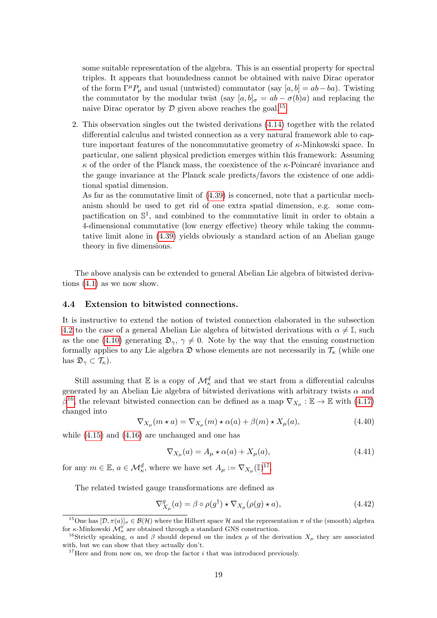some suitable representation of the algebra. This is an essential property for spectral triples. It appears that boundedness cannot be obtained with naive Dirac operator of the form  $\Gamma^{\mu}P_{\mu}$  and usual (untwisted) commutator (say [a, b] = ab – ba). Twisting the commutator by the modular twist (say  $[a, b]_{\sigma} = ab - \sigma(b)a$ ) and replacing the naive Dirac operator by  $\mathcal D$  given above reaches the goal.<sup>[15](#page-18-1)</sup>

2. This observation singles out the twisted derivations [\(4.14\)](#page-15-1) together with the related differential calculus and twisted connection as a very natural framework able to capture important features of the noncommutative geometry of κ-Minkowski space. In particular, one salient physical prediction emerges within this framework: Assuming  $\kappa$  of the order of the Planck mass, the coexistence of the  $\kappa$ -Poincaré invariance and the gauge invariance at the Planck scale predicts/favors the existence of one additional spatial dimension.

As far as the commutative limit of [\(4.39\)](#page-17-2) is concerned, note that a particular mechanism should be used to get rid of one extra spatial dimension, e.g. some compactification on  $\mathbb{S}^1$ , and combined to the commutative limit in order to obtain a 4-dimensional commutative (low energy effective) theory while taking the commutative limit alone in [\(4.39\)](#page-17-2) yields obviously a standard action of an Abelian gauge theory in five dimensions.

The above analysis can be extended to general Abelian Lie algebra of bitwisted derivations [\(4.1\)](#page-13-3) as we now show.

#### <span id="page-18-0"></span>4.4 Extension to bitwisted connections.

It is instructive to extend the notion of twisted connection elaborated in the subsection [4.2](#page-15-0) to the case of a general Abelian Lie algebra of bitwisted derivations with  $\alpha \neq \mathbb{I}$ , such as the one [\(4.10\)](#page-14-2) generating  $\mathfrak{D}_{\gamma}$ ,  $\gamma \neq 0$ . Note by the way that the ensuing construction formally applies to any Lie algebra  $\mathfrak D$  whose elements are not necessarily in  $\mathcal T_\kappa$  (while one has  $\mathfrak{D}_{\gamma} \subset \mathcal{T}_{\kappa}$ ).

Still assuming that  $\mathbb E$  is a copy of  $\mathcal M_\kappa^d$  and that we start from a differential calculus generated by an Abelian Lie algebra of bitwisted derivations with arbitrary twists  $\alpha$  and  $\beta^{16}$  $\beta^{16}$  $\beta^{16}$ , the relevant bitwisted connection can be defined as a map  $\nabla_{X_\mu} : \mathbb{E} \to \mathbb{E}$  with [\(4.17\)](#page-15-2) changed into

$$
\nabla_{X_{\mu}}(m \star a) = \nabla_{X_{\mu}}(m) \star \alpha(a) + \beta(m) \star X_{\mu}(a), \tag{4.40}
$$

while [\(4.15\)](#page-15-2) and [\(4.16\)](#page-15-2) are unchanged and one has

$$
\nabla_{X_{\mu}}(a) = A_{\mu} \star \alpha(a) + X_{\mu}(a), \tag{4.41}
$$

for any  $m \in \mathbb{E}$ ,  $a \in \mathcal{M}_{\kappa}^d$ , where we have set  $A_{\mu} := \nabla_{X_{\mu}}(\mathbb{I})^{17}$  $A_{\mu} := \nabla_{X_{\mu}}(\mathbb{I})^{17}$  $A_{\mu} := \nabla_{X_{\mu}}(\mathbb{I})^{17}$ .

The related twisted gauge transformations are defined as

$$
\nabla_{X_{\mu}}^{g}(a) = \beta \circ \rho(g^{\dagger}) \star \nabla_{X_{\mu}}(\rho(g) \star a), \tag{4.42}
$$

<span id="page-18-1"></span><sup>&</sup>lt;sup>15</sup>One has  $[\mathcal{D}, \pi(a)]_{\sigma} \in \mathcal{B}(\mathcal{H})$  where the Hilbert space  $\mathcal{H}$  and the representation  $\pi$  of the (smooth) algebra for  $\kappa$ -Minkowski  $\mathcal{M}^0_\kappa$  are obtained through a standard GNS construction.

<span id="page-18-2"></span><sup>&</sup>lt;sup>16</sup>Strictly speaking,  $\alpha$  and  $\beta$  should depend on the index  $\mu$  of the derivation  $X_{\mu}$  they are associated with, but we can show that they actually don't.

<span id="page-18-3"></span><sup>&</sup>lt;sup>17</sup>Here and from now on, we drop the factor  $i$  that was introduced previously.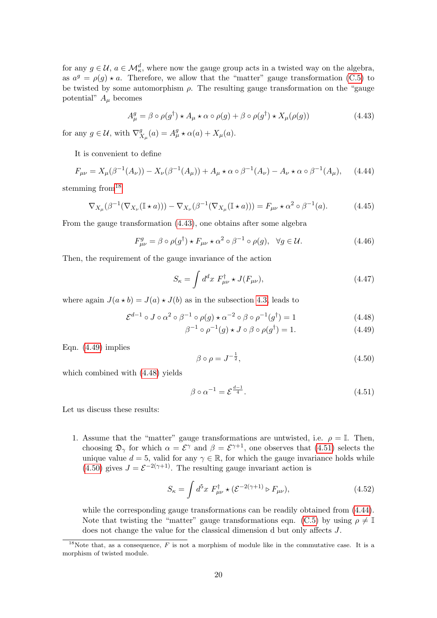for any  $g \in \mathcal{U}$ ,  $a \in \mathcal{M}_{\kappa}^d$ , where now the gauge group acts in a twisted way on the algebra, as  $a^g = \rho(g) \star a$ . Therefore, we allow that the "matter" gauge transformation [\(C.5\)](#page-23-5) to be twisted by some automorphism  $\rho$ . The resulting gauge transformation on the "gauge potential"  $A_{\mu}$  becomes

<span id="page-19-1"></span>
$$
A_{\mu}^{g} = \beta \circ \rho(g^{\dagger}) \star A_{\mu} \star \alpha \circ \rho(g) + \beta \circ \rho(g^{\dagger}) \star X_{\mu}(\rho(g)) \tag{4.43}
$$

for any  $g \in \mathcal{U}$ , with  $\nabla_{y}^{g}$  $S_{X_{\mu}}^{g}(a) = A_{\mu}^{g} \star \alpha(a) + X_{\mu}(a).$ 

It is convenient to define

<span id="page-19-5"></span>
$$
F_{\mu\nu} = X_{\mu}(\beta^{-1}(A_{\nu})) - X_{\nu}(\beta^{-1}(A_{\mu})) + A_{\mu} \star \alpha \circ \beta^{-1}(A_{\nu}) - A_{\nu} \star \alpha \circ \beta^{-1}(A_{\mu}), \quad (4.44)
$$

stemming from<sup>[18](#page-19-0)</sup>

$$
\nabla_{X_{\mu}}(\beta^{-1}(\nabla_{X_{\nu}}(\mathbb{I} \star a))) - \nabla_{X_{\nu}}(\beta^{-1}(\nabla_{X_{\mu}}(\mathbb{I} \star a))) = F_{\mu\nu} \star \alpha^2 \circ \beta^{-1}(a). \tag{4.45}
$$

From the gauge transformation [\(4.43\)](#page-19-1), one obtains after some algebra

$$
F_{\mu\nu}^{g} = \beta \circ \rho(g^{\dagger}) \star F_{\mu\nu} \star \alpha^{2} \circ \beta^{-1} \circ \rho(g), \quad \forall g \in \mathcal{U}.
$$
 (4.46)

Then, the requirement of the gauge invariance of the action

<span id="page-19-6"></span>
$$
S_{\kappa} = \int d^d x \ F_{\mu\nu}^{\dagger} \star J(F_{\mu\nu}), \tag{4.47}
$$

where again  $J(a * b) = J(a) * J(b)$  as in the subsection [4.3,](#page-16-0) leads to

<span id="page-19-2"></span>
$$
\mathcal{E}^{d-1} \circ J \circ \alpha^2 \circ \beta^{-1} \circ \rho(g) \star \alpha^{-2} \circ \beta \circ \rho^{-1}(g^{\dagger}) = 1 \tag{4.48}
$$

$$
\beta^{-1} \circ \rho^{-1}(g) \star J \circ \beta \circ \rho(g^{\dagger}) = 1. \tag{4.49}
$$

Eqn. [\(4.49\)](#page-19-2) implies

<span id="page-19-4"></span>
$$
\beta \circ \rho = J^{-\frac{1}{2}},\tag{4.50}
$$

which combined with [\(4.48\)](#page-19-2) yields

<span id="page-19-3"></span>
$$
\beta \circ \alpha^{-1} = \mathcal{E}^{\frac{d-1}{4}}.
$$
\n(4.51)

Let us discuss these results:

1. Assume that the "matter" gauge transformations are untwisted, i.e.  $\rho = \mathbb{I}$ . Then, choosing  $\mathfrak{D}_{\gamma}$  for which  $\alpha = \mathcal{E}^{\gamma}$  and  $\beta = \mathcal{E}^{\gamma+1}$ , one observes that [\(4.51\)](#page-19-3) selects the unique value  $d = 5$ , valid for any  $\gamma \in \mathbb{R}$ , for which the gauge invariance holds while [\(4.50\)](#page-19-4) gives  $J = \mathcal{E}^{-2(\gamma+1)}$ . The resulting gauge invariant action is

$$
S_{\kappa} = \int d^5 x \ F_{\mu\nu}^{\dagger} \star (\mathcal{E}^{-2(\gamma+1)} \triangleright F_{\mu\nu}), \tag{4.52}
$$

while the corresponding gauge transformations can be readily obtained from  $(4.44)$ . Note that twisting the "matter" gauge transformations eqn. [\(C.5\)](#page-23-5) by using  $\rho \neq \mathbb{I}$ does not change the value for the classical dimension d but only affects J.

<span id="page-19-0"></span><sup>&</sup>lt;sup>18</sup>Note that, as a consequence,  $\overline{F}$  is not a morphism of module like in the commutative case. It is a morphism of twisted module.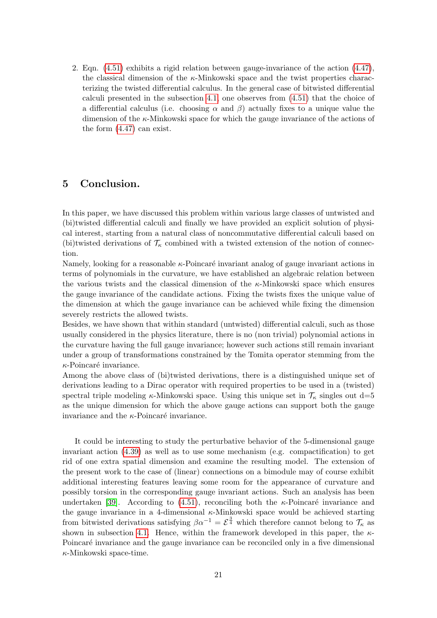2. Eqn. [\(4.51\)](#page-19-3) exhibits a rigid relation between gauge-invariance of the action [\(4.47\)](#page-19-6), the classical dimension of the  $\kappa$ -Minkowski space and the twist properties characterizing the twisted differential calculus. In the general case of bitwisted differential calculi presented in the subsection [4.1,](#page-13-0) one observes from [\(4.51\)](#page-19-3) that the choice of a differential calculus (i.e. choosing  $\alpha$  and  $\beta$ ) actually fixes to a unique value the dimension of the  $\kappa$ -Minkowski space for which the gauge invariance of the actions of the form [\(4.47\)](#page-19-6) can exist.

## 5 Conclusion.

In this paper, we have discussed this problem within various large classes of untwisted and (bi)twisted differential calculi and finally we have provided an explicit solution of physical interest, starting from a natural class of noncommutative differential calculi based on (bi)twisted derivations of  $\mathcal{T}_{\kappa}$  combined with a twisted extension of the notion of connection.

Namely, looking for a reasonable  $\kappa$ -Poincaré invariant analog of gauge invariant actions in terms of polynomials in the curvature, we have established an algebraic relation between the various twists and the classical dimension of the  $\kappa$ -Minkowski space which ensures the gauge invariance of the candidate actions. Fixing the twists fixes the unique value of the dimension at which the gauge invariance can be achieved while fixing the dimension severely restricts the allowed twists.

Besides, we have shown that within standard (untwisted) differential calculi, such as those usually considered in the physics literature, there is no (non trivial) polynomial actions in the curvature having the full gauge invariance; however such actions still remain invariant under a group of transformations constrained by the Tomita operator stemming from the  $\kappa$ -Poincaré invariance.

Among the above class of (bi)twisted derivations, there is a distinguished unique set of derivations leading to a Dirac operator with required properties to be used in a (twisted) spectral triple modeling  $\kappa$ -Minkowski space. Using this unique set in  $\mathcal{T}_{\kappa}$  singles out d=5 as the unique dimension for which the above gauge actions can support both the gauge invariance and the  $\kappa$ -Poincaré invariance.

It could be interesting to study the perturbative behavior of the 5-dimensional gauge invariant action [\(4.39\)](#page-17-2) as well as to use some mechanism (e.g. compactification) to get rid of one extra spatial dimension and examine the resulting model. The extension of the present work to the case of (linear) connections on a bimodule may of course exhibit additional interesting features leaving some room for the appearance of curvature and possibly torsion in the corresponding gauge invariant actions. Such an analysis has been undertaken [\[39\]](#page-26-7). According to [\(4.51\)](#page-19-3), reconciling both the  $\kappa$ -Poincaré invariance and the gauge invariance in a 4-dimensional  $\kappa$ -Minkowski space would be achieved starting from bitwisted derivations satisfying  $\beta \alpha^{-1} = \mathcal{E}^{\frac{3}{4}}$  which therefore cannot belong to  $\mathcal{T}_{\kappa}$  as shown in subsection [4.1.](#page-13-0) Hence, within the framework developed in this paper, the  $\kappa$ -Poincaré invariance and the gauge invariance can be reconciled only in a five dimensional  $\kappa$ -Minkowski space-time.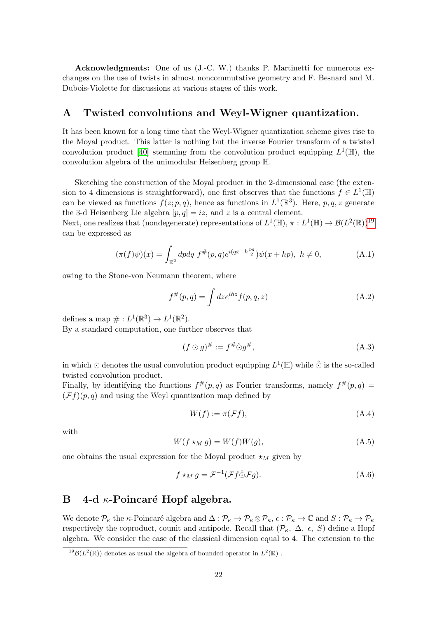Acknowledgments: One of us (J.-C. W.) thanks P. Martinetti for numerous exchanges on the use of twists in almost noncommutative geometry and F. Besnard and M. Dubois-Violette for discussions at various stages of this work.

# <span id="page-21-0"></span>A Twisted convolutions and Weyl-Wigner quantization.

It has been known for a long time that the Weyl-Wigner quantization scheme gives rise to the Moyal product. This latter is nothing but the inverse Fourier transform of a twisted convolution product [\[40\]](#page-26-8) stemming from the convolution product equipping  $L^1(\mathbb{H})$ , the convolution algebra of the unimodular Heisenberg group H.

Sketching the construction of the Moyal product in the 2-dimensional case (the extension to 4 dimensions is straightforward), one first observes that the functions  $f \in L^1(\mathbb{H})$ can be viewed as functions  $f(z; p, q)$ , hence as functions in  $L^1(\mathbb{R}^3)$ . Here, p, q, z generate the 3-d Heisenberg Lie algebra  $[p, q] = iz$ , and z is a central element.

Next, one realizes that (nondegenerate) representations of  $L^1(\mathbb{H}), \pi : L^1(\mathbb{H}) \to \mathcal{B}(L^2(\mathbb{R}))^{19}$  $L^1(\mathbb{H}), \pi : L^1(\mathbb{H}) \to \mathcal{B}(L^2(\mathbb{R}))^{19}$  $L^1(\mathbb{H}), \pi : L^1(\mathbb{H}) \to \mathcal{B}(L^2(\mathbb{R}))^{19}$ can be expressed as

$$
(\pi(f)\psi)(x) = \int_{\mathbb{R}^2} dp dq f^{\#}(p,q) e^{i(qx + h\frac{pq}{2})} \psi(x + hp), \ h \neq 0,
$$
 (A.1)

owing to the Stone-von Neumann theorem, where

$$
f^{\#}(p,q) = \int dz e^{ihz} f(p,q,z)
$$
 (A.2)

defines a map  $\# : L^1(\mathbb{R}^3) \to L^1(\mathbb{R}^2)$ .

By a standard computation, one further observes that

$$
(f \odot g)^\# := f^\# \widehat{\odot} g^\#, \tag{A.3}
$$

in which  $\odot$  denotes the usual convolution product equipping  $L^1(\mathbb{H})$  while  $\hat{\odot}$  is the so-called twisted convolution product.

Finally, by identifying the functions  $f^{\#}(p,q)$  as Fourier transforms, namely  $f^{\#}(p,q)$  =  $(\mathcal{F}f)(p,q)$  and using the Weyl quantization map defined by

$$
W(f) := \pi(\mathcal{F}f),\tag{A.4}
$$

with

$$
W(f \star_M g) = W(f)W(g), \tag{A.5}
$$

one obtains the usual expression for the Moyal product  $\star_M$  given by

$$
f \star_M g = \mathcal{F}^{-1}(\mathcal{F}f \hat{\odot} \mathcal{F}g). \tag{A.6}
$$

## <span id="page-21-1"></span>B 4-d  $\kappa$ -Poincaré Hopf algebra.

We denote  $\mathcal{P}_{\kappa}$  the  $\kappa$ -Poincaré algebra and  $\Delta : \mathcal{P}_{\kappa} \to \mathcal{P}_{\kappa} \otimes \mathcal{P}_{\kappa}$ ,  $\epsilon : \mathcal{P}_{\kappa} \to \mathbb{C}$  and  $S : \mathcal{P}_{\kappa} \to \mathcal{P}_{\kappa}$ respectively the coproduct, counit and antipode. Recall that  $(\mathcal{P}_{\kappa}, \Delta, \epsilon, S)$  define a Hopf algebra. We consider the case of the classical dimension equal to 4. The extension to the

<span id="page-21-2"></span><sup>&</sup>lt;sup>19</sup>B( $L^2(\mathbb{R})$ ) denotes as usual the algebra of bounded operator in  $L^2(\mathbb{R})$ .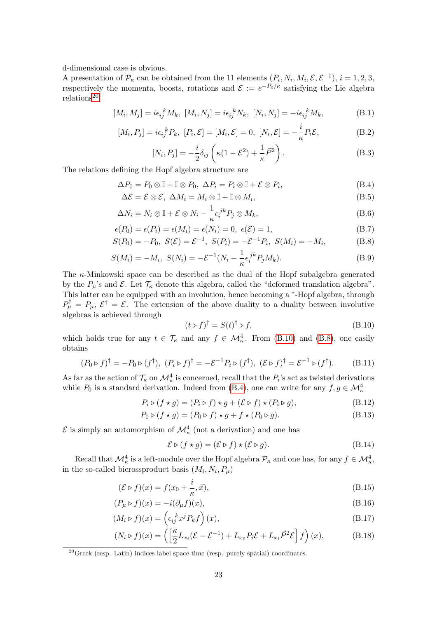d-dimensional case is obvious.

A presentation of  $\mathcal{P}_{\kappa}$  can be obtained from the 11 elements  $(P_i, N_i, M_i, \mathcal{E}, \mathcal{E}^{-1}), i = 1, 2, 3$ , respectively the momenta, boosts, rotations and  $\mathcal{E} := e^{-P_0/\kappa}$  satisfying the Lie algebra  $relations<sup>20</sup>$  $relations<sup>20</sup>$  $relations<sup>20</sup>$ 

<span id="page-22-4"></span>
$$
[M_i, M_j] = i\epsilon_{ij}^k M_k, \ [M_i, N_j] = i\epsilon_{ij}^k N_k, \ [N_i, N_j] = -i\epsilon_{ij}^k M_k,
$$
\n(B.1)

$$
[M_i, P_j] = i\epsilon_{ij}^k P_k, [P_i, \mathcal{E}] = [M_i, \mathcal{E}] = 0, [N_i, \mathcal{E}] = -\frac{i}{\kappa} P_i \mathcal{E},
$$
(B.2)

<span id="page-22-6"></span><span id="page-22-5"></span><span id="page-22-2"></span>
$$
[N_i, P_j] = -\frac{i}{2}\delta_{ij}\left(\kappa(1-\mathcal{E}^2) + \frac{1}{\kappa}\vec{P}^2\right).
$$
 (B.3)

The relations defining the Hopf algebra structure are

$$
\Delta P_0 = P_0 \otimes \mathbb{I} + \mathbb{I} \otimes P_0, \ \Delta P_i = P_i \otimes \mathbb{I} + \mathcal{E} \otimes P_i,
$$
\n(B.4)

 $\Delta \mathcal{E} = \mathcal{E} \otimes \mathcal{E}, \ \Delta M_i = M_i \otimes \mathbb{I} + \mathbb{I} \otimes M_i,$  $(B.5)$ 

$$
\Delta N_i = N_i \otimes \mathbb{I} + \mathcal{E} \otimes N_i - \frac{1}{\kappa} \epsilon_i^{jk} P_j \otimes M_k,
$$
\n(B.6)

$$
\epsilon(P_0) = \epsilon(P_i) = \epsilon(M_i) = \epsilon(N_i) = 0, \ \epsilon(\mathcal{E}) = 1,
$$
\n(B.7)

$$
S(P_0) = -P_0, \ S(\mathcal{E}) = \mathcal{E}^{-1}, \ S(P_i) = -\mathcal{E}^{-1}P_i, \ S(M_i) = -M_i,
$$
 (B.8)

$$
S(M_i) = -M_i, \ S(N_i) = -\mathcal{E}^{-1}(N_i - \frac{1}{\kappa} \epsilon_i^{jk} P_j M_k).
$$
 (B.9)

The  $\kappa$ -Minkowski space can be described as the dual of the Hopf subalgebra generated by the  $P_\mu$ 's and  $\mathcal E$ . Let  $\mathcal T_\kappa$  denote this algebra, called the "deformed translation algebra". This latter can be equipped with an involution, hence becoming a \*-Hopf algebra, through  $P^{\dagger}_{\mu} = P_{\mu}, \mathcal{E}^{\dagger} = \mathcal{E}.$  The extension of the above duality to a duality between involutive algebras is achieved through

<span id="page-22-9"></span><span id="page-22-8"></span><span id="page-22-3"></span><span id="page-22-0"></span>
$$
(t \triangleright f)^{\dagger} = S(t)^{\dagger} \triangleright f, \tag{B.10}
$$

which holds true for any  $t \in \mathcal{T}_{\kappa}$  and any  $f \in \mathcal{M}_{\kappa}^4$ . From [\(B.10\)](#page-22-8) and [\(B.8\)](#page-22-9), one easily obtains

$$
(P_0 \triangleright f)^\dagger = -P_0 \triangleright (f^\dagger), \ (P_i \triangleright f)^\dagger = -\mathcal{E}^{-1} P_i \triangleright (f^\dagger), \ (\mathcal{E} \triangleright f)^\dagger = \mathcal{E}^{-1} \triangleright (f^\dagger). \tag{B.11}
$$

As far as the action of  $\mathcal{T}_{\kappa}$  on  $\mathcal{M}^4_{\kappa}$  is concerned, recall that the  $P_i$ 's act as twisted derivations while  $P_0$  is a standard derivation. Indeed from [\(B.4\)](#page-22-2), one can write for any  $f, g \in \mathcal{M}^4_{\kappa}$ 

$$
P_i \triangleright (f \star g) = (P_i \triangleright f) \star g + (\mathcal{E} \triangleright f) \star (P_i \triangleright g),
$$
\n(B.12)

$$
P_0 \triangleright (f \star g) = (P_0 \triangleright f) \star g + f \star (P_0 \triangleright g). \tag{B.13}
$$

 $\mathcal{E}$  is simply an automorphism of  $\mathcal{M}^4_{\kappa}$  (not a derivation) and one has

<span id="page-22-1"></span>
$$
\mathcal{E} \triangleright (f \star g) = (\mathcal{E} \triangleright f) \star (\mathcal{E} \triangleright g). \tag{B.14}
$$

Recall that  $\mathcal{M}^4_\kappa$  is a left-module over the Hopf algebra  $\mathcal{P}_\kappa$  and one has, for any  $f \in \mathcal{M}^4_\kappa$ , in the so-called bicrossproduct basis  $(M_i, N_i, P_\mu)$ 

$$
(\mathcal{E} \triangleright f)(x) = f(x_0 + \frac{i}{\kappa}, \vec{x}),\tag{B.15}
$$

$$
(P_{\mu} \triangleright f)(x) = -i(\partial_{\mu} f)(x),\tag{B.16}
$$

$$
(M_i \triangleright f)(x) = \left(\epsilon_{ij}^k x^j P_k f\right)(x),\tag{B.17}
$$

$$
(N_i \triangleright f)(x) = \left( \left[ \frac{\kappa}{2} L_{x_i} (\mathcal{E} - \mathcal{E}^{-1}) + L_{x_0} P_i \mathcal{E} + L_{x_i} \vec{P}^2 \mathcal{E} \right] f \right) (x), \tag{B.18}
$$

<span id="page-22-7"></span> $20$ Greek (resp. Latin) indices label space-time (resp. purely spatial) coordinates.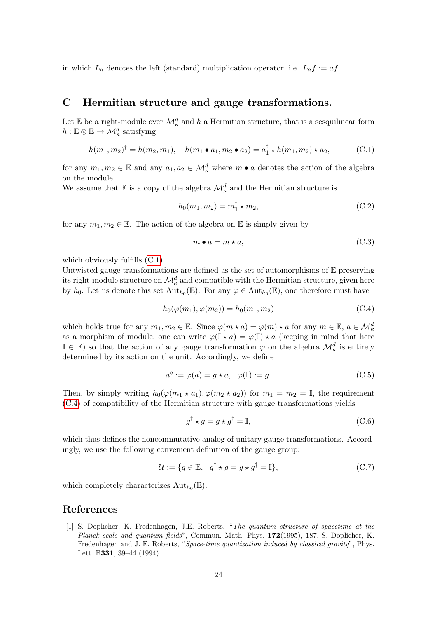in which  $L_a$  denotes the left (standard) multiplication operator, i.e.  $L_a f := af$ .

# <span id="page-23-1"></span>C Hermitian structure and gauge transformations.

Let E be a right-module over  $\mathcal{M}^d_\kappa$  and h a Hermitian structure, that is a sesquilinear form  $h: \mathbb{E} \otimes \mathbb{E} \to \mathcal{M}^d_\kappa$  satisfying:

<span id="page-23-4"></span>
$$
h(m_1, m_2)^{\dagger} = h(m_2, m_1), \quad h(m_1 \bullet a_1, m_2 \bullet a_2) = a_1^{\dagger} \star h(m_1, m_2) \star a_2, \tag{C.1}
$$

for any  $m_1, m_2 \in \mathbb{E}$  and any  $a_1, a_2 \in \mathcal{M}_{\kappa}^d$  where  $m \bullet a$  denotes the action of the algebra on the module.

We assume that  $\mathbb E$  is a copy of the algebra  $\mathcal M_\kappa^d$  and the Hermitian structure is

<span id="page-23-3"></span>
$$
h_0(m_1, m_2) = m_1^{\dagger} \star m_2,\tag{C.2}
$$

for any  $m_1, m_2 \in \mathbb{E}$ . The action of the algebra on  $\mathbb E$  is simply given by

<span id="page-23-2"></span>
$$
m \bullet a = m \star a,\tag{C.3}
$$

which obviously fulfills  $(C.1)$ .

Untwisted gauge transformations are defined as the set of automorphisms of  $E$  preserving its right-module structure on  $\mathcal{M}^d_\kappa$  and compatible with the Hermitian structure, given here by  $h_0$ . Let us denote this set  $\mathrm{Aut}_{h_0}(\mathbb{E})$ . For any  $\varphi \in \mathrm{Aut}_{h_0}(\mathbb{E})$ , one therefore must have

<span id="page-23-6"></span>
$$
h_0(\varphi(m_1), \varphi(m_2)) = h_0(m_1, m_2)
$$
\n(C.4)

which holds true for any  $m_1, m_2 \in \mathbb{E}$ . Since  $\varphi(m \star a) = \varphi(m) \star a$  for any  $m \in \mathbb{E}$ ,  $a \in \mathcal{M}_{\kappa}^d$ as a morphism of module, one can write  $\varphi(\mathbb{I} \star a) = \varphi(\mathbb{I}) \star a$  (keeping in mind that here  $\mathbb{I} \in \mathbb{E}$ ) so that the action of any gauge transformation  $\varphi$  on the algebra  $\mathcal{M}^d_{\kappa}$  is entirely determined by its action on the unit. Accordingly, we define

<span id="page-23-5"></span>
$$
a^g := \varphi(a) = g \star a, \quad \varphi(\mathbb{I}) := g.
$$
\n(C.5)

Then, by simply writing  $h_0(\varphi(m_1 * a_1), \varphi(m_2 * a_2))$  for  $m_1 = m_2 = \mathbb{I}$ , the requirement [\(C.4\)](#page-23-6) of compatibility of the Hermitian structure with gauge transformations yields

$$
g^{\dagger} \star g = g \star g^{\dagger} = \mathbb{I},\tag{C.6}
$$

which thus defines the noncommutative analog of unitary gauge transformations. Accordingly, we use the following convenient definition of the gauge group:

$$
\mathcal{U} := \{ g \in \mathbb{E}, \ g^{\dagger} \star g = g \star g^{\dagger} = \mathbb{I} \},
$$
\n(C.7)

which completely characterizes  $\text{Aut}_{h_0}(\mathbb{E})$ .

## References

<span id="page-23-0"></span>[1] S. Doplicher, K. Fredenhagen, J.E. Roberts, "The quantum structure of spacetime at the Planck scale and quantum fields", Commun. Math. Phys. 172(1995), 187. S. Doplicher, K. Fredenhagen and J. E. Roberts, "Space-time quantization induced by classical gravity", Phys. Lett. B331, 39–44 (1994).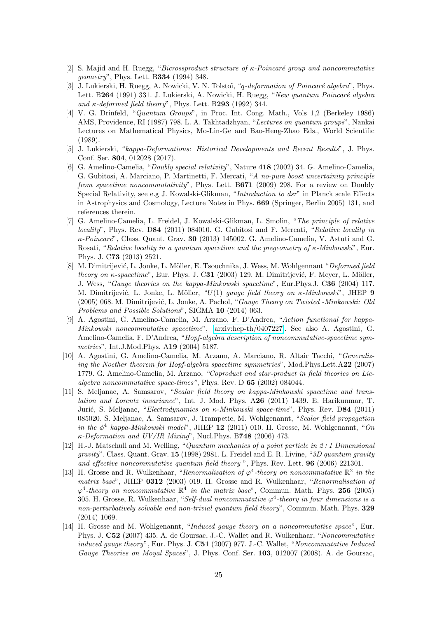- <span id="page-24-0"></span>[2] S. Majid and H. Ruegg, "Bicrossproduct structure of  $\kappa$ -Poincaré group and noncommutative geometry", Phys. Lett. B334 (1994) 348.
- <span id="page-24-1"></span>[3] J. Lukierski, H. Ruegg, A. Nowicki, V. N. Tolstoï, "*q-deformation of Poincaré algebra*", Phys. Lett. B264 (1991) 331. J. Lukierski, A. Nowicki, H. Ruegg, "New quantum Poincaré algebra and  $\kappa$ -deformed field theory", Phys. Lett. B293 (1992) 344.
- <span id="page-24-2"></span>[4] V. G. Drinfeld, "Quantum Groups", in Proc. Int. Cong. Math., Vols 1,2 (Berkeley 1986) AMS, Providence, RI (1987) 798. L. A. Takhtadzhyan, "Lectures on quantum groups", Nankai Lectures on Mathematical Physics, Mo-Lin-Ge and Bao-Heng-Zhao Eds., World Scientific (1989).
- <span id="page-24-3"></span>[5] J. Lukierski, "kappa-Deformations: Historical Developments and Recent Results", J. Phys. Conf. Ser. 804, 012028 (2017).
- <span id="page-24-4"></span>[6] G. Amelino-Camelia, "Doubly special relativity", Nature 418 (2002) 34. G. Amelino-Camelia, G. Gubitosi, A. Marciano, P. Martinetti, F. Mercati, "A no-pure boost uncertainity principle from spacetime noncommutativity", Phys. Lett. B671 (2009) 298. For a review on Doubly Special Relativity, see e.g J. Kowalski-Glikman, "Introduction to dsr" in Planck scale Effects in Astrophysics and Cosmology, Lecture Notes in Phys. 669 (Springer, Berlin 2005) 131, and references therein.
- <span id="page-24-5"></span>[7] G. Amelino-Camelia, L. Freidel, J. Kowalski-Glikman, L. Smolin, "The principle of relative locality", Phys. Rev. D84 (2011) 084010. G. Gubitosi and F. Mercati, "Relative locality in  $\kappa$ -Poincaré", Class. Quant. Grav. 30 (2013) 145002. G. Amelino-Camelia, V. Astuti and G. Rosati, "Relative locality in a quantum spacetime and the pregeometry of  $\kappa$ -Minkowski", Eur. Phys. J. C73 (2013) 2521.
- <span id="page-24-6"></span>[8] M. Dimitrijević, L. Jonke, L. Möller, E. Tsouchnika, J. Wess, M. Wohlgennant "Deformed field" theory on  $\kappa$ -spacetime", Eur. Phys. J. C31 (2003) 129. M. Dimitrijević, F. Meyer, L. Möller, J. Wess, "Gauge theories on the kappa-Minkowski spacetime", Eur.Phys.J. C36 (2004) 117. M. Dimitrijević, L. Jonke, L. Möller, " $U(1)$  gauge field theory on  $\kappa$ -Minkowski", JHEP 9 (2005) 068. M. Dimitrijević, L. Jonke, A. Pachol, "Gauge Theory on Twisted -Minkowski: Old Problems and Possible Solutions", SIGMA 10 (2014) 063.
- [9] A. Agostini, G. Amelino-Camelia, M. Arzano, F. D'Andrea, "Action functional for kappa-Minkowski noncommutative spacetime", [\[arxiv:hep-th/0407227\]](http://arxiv.org/abs/hep-th/0407227). See also A. Agostini, G. Amelino-Camelia, F. D'Andrea, "Hopf-algebra description of noncommutative-spacetime symmetries", Int.J.Mod.Phys. A19 (2004) 5187.
- [10] A. Agostini, G. Amelino-Camelia, M. Arzano, A. Marciano, R. Altair Tacchi, "Generalizing the Noether theorem for Hopf-algebra spacetime symmetries", Mod.Phys.Lett.A22 (2007) 1779. G. Amelino-Camelia, M. Arzano, "Coproduct and star-product in field theories on Liealgebra noncommutative space-times", Phys. Rev. D 65 (2002) 084044.
- <span id="page-24-7"></span>[11] S. Meljanac, A. Samsarov, "Scalar field theory on kappa-Minkowski spacetime and translation and Lorentz invariance", Int. J. Mod. Phys. A26 (2011) 1439. E. Harikunmar, T. Jurić, S. Meljanac, "Electrodynamics on  $\kappa$ -Minkowski space-time", Phys. Rev. D84 (2011) 085020. S. Meljanac, A. Samsarov, J. Trampetic, M. Wohlgenannt, "Scalar field propagation in the  $\phi^4$  kappa-Minkowski model", JHEP 12 (2011) 010. H. Grosse, M. Wohlgenannt, "On  $\kappa$ -Deformation and UV/IR Mixing", Nucl.Phys. B748 (2006) 473.
- <span id="page-24-8"></span>[12] H.-J. Matschull and M. Welling, "Quantum mechanics of a point particle in  $2+1$  Dimensional  $gravity'$ . Class. Quant. Grav. 15 (1998) 2981. L. Freidel and E. R. Livine, "3D quantum gravity and effective noncommutative quantum field theory ", Phys. Rev. Lett. 96 (2006) 221301.
- <span id="page-24-9"></span>[13] H. Grosse and R. Wulkenhaar, "Renormalisation of  $\varphi^4$ -theory on noncommutative  $\mathbb{R}^2$  in the matrix base", JHEP 0312 (2003) 019. H. Grosse and R. Wulkenhaar, "Renormalisation of  $\varphi^4$ -theory on noncommutative  $\mathbb{R}^4$  in the matrix base", Commun. Math. Phys. 256 (2005) 305. H. Grosse, R. Wulkenhaar, "Self-dual noncommutative  $\varphi^4$ -theory in four dimensions is a non-perturbatively solvable and non-trivial quantum field theory", Commun. Math. Phys. 329 (2014) 1069.
- [14] H. Grosse and M. Wohlgenannt, "*Induced gauge theory on a noncommutative space*", Eur. Phys. J. C52 (2007) 435. A. de Goursac, J.-C. Wallet and R. Wulkenhaar, "Noncommutative induced gauge theory", Eur. Phys. J. C51 (2007) 977. J.-C. Wallet, "Noncommutative Induced Gauge Theories on Moyal Spaces", J. Phys. Conf. Ser. 103, 012007 (2008). A. de Goursac,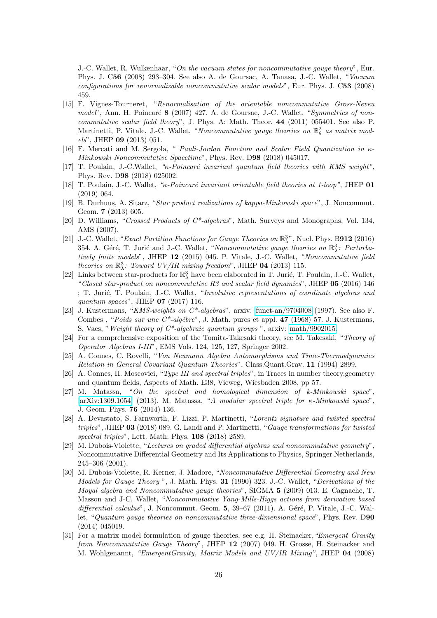J.-C. Wallet, R. Wulkenhaar, "On the vacuum states for noncommutative gauge theory", Eur. Phys. J. C56 (2008) 293–304. See also A. de Goursac, A. Tanasa, J.-C. Wallet, "Vacuum configurations for renormalizable noncommutative scalar models", Eur. Phys. J. C53 (2008) 459.

- <span id="page-25-0"></span>[15] F. Vignes-Tourneret, "Renormalisation of the orientable noncommutative Gross-Neveu model", Ann. H. Poincaré  $8$  (2007) 427. A. de Goursac, J.-C. Wallet, "Symmetries of noncommutative scalar field theory", J. Phys. A: Math. Theor. 44 (2011) 055401. See also P. Martinetti, P. Vitale, J.-C. Wallet, "Noncommutative gauge theories on  $\mathbb{R}^2_\theta$  as matrix models", JHEP 09 (2013) 051.
- <span id="page-25-1"></span>[16] F. Mercati and M. Sergola, " Pauli-Jordan Function and Scalar Field Quantization in κ-Minkowski Noncommutative Spacetime", Phys. Rev. D98 (2018) 045017.
- <span id="page-25-2"></span>[17] T. Poulain, J.-C.Wallet, "<sub>K</sub>-Poincaré invariant quantum field theories with KMS weight", Phys. Rev. D98 (2018) 025002.
- <span id="page-25-3"></span>[18] T. Poulain, J.-C. Wallet, " $\kappa$ -Poincaré invariant orientable field theories at 1-loop", JHEP 01 (2019) 064.
- <span id="page-25-4"></span>[19] B. Durhuus, A. Sitarz, "Star product realizations of kappa-Minkowski space", J. Noncommut. Geom. 7 (2013) 605.
- <span id="page-25-7"></span>[20] D. Williams, "Crossed Products of C\*-algebras", Math. Surveys and Monographs, Vol. 134, AMS (2007).
- <span id="page-25-5"></span>[21] J.-C. Wallet, "Exact Partition Functions for Gauge Theories on  $\mathbb{R}^{3n}_{\lambda}$ , Nucl. Phys. B912 (2016) 354. A. Géré, T. Jurić and J.-C. Wallet, "Noncommutative gauge theories on  $\mathbb{R}^3_\lambda$ : Perturbatively finite models", JHEP 12 (2015) 045. P. Vitale, J.-C. Wallet, "Noncommutative field theories on  $\mathbb{R}^3_\lambda$ : Toward UV/IR mixing freedom", JHEP 04 (2013) 115.
- <span id="page-25-6"></span>[22] Links between star-products for  $\mathbb{R}^3_\lambda$  have been elaborated in T. Jurić, T. Poulain, J.-C. Wallet, "Closed star-product on noncommutative R3 and scalar field dynamics", JHEP 05 (2016) 146 ; T. Jurić, T. Poulain, J.-C. Wallet, "Involutive representations of coordinate algebras and quantum spaces", JHEP 07 (2017) 116.
- <span id="page-25-8"></span>[23] J. Kustermans, "KMS-weights on  $C^*$ -algebras", arxiv: [funct-an/9704008](http://arxiv.org/abs/funct-an/9704008) (1997). See also F. Combes, "Poids sur une  $C^*$ -algèbre", J. Math. pures et appl. 47 (1968) 57. J. Kustermans, S. Vaes, "Weight theory of  $C^*$ -algebraic quantum groups ", arxiv: [math/9902015.](http://arxiv.org/abs/math/9902015)
- <span id="page-25-9"></span>[24] For a comprehensive exposition of the Tomita-Takesaki theory, see M. Takesaki, "Theory of Operator Algebras I-III", EMS Vols. 124, 125, 127, Springer 2002.
- <span id="page-25-10"></span>[25] A. Connes, C. Rovelli, "Von Neumann Algebra Automorphisms and Time-Thermodynamics Relation in General Covariant Quantum Theories", Class.Quant.Grav. 11 (1994) 2899.
- <span id="page-25-11"></span>[26] A. Connes, H. Moscovici, "Type III and spectral triples", in Traces in number theory,geometry and quantum fields, Aspects of Math. E38, Vieweg, Wiesbaden 2008, pp 57.
- <span id="page-25-12"></span>[27] M. Matassa, "On the spectral and homological dimension of k-Minkowski space". [\[arXiv:1309.1054\]](http://arxiv.org/abs/1309.1054) (2013). M. Matassa, "A modular spectral triple for  $\kappa$ -Minkowski space", J. Geom. Phys. 76 (2014) 136.
- <span id="page-25-13"></span>[28] A. Devastato, S. Farnworth, F. Lizzi, P. Martinetti, "Lorentz signature and twisted spectral triples", JHEP 03 (2018) 089. G. Landi and P. Martinetti, "Gauge transformations for twisted spectral triples", Lett. Math. Phys. 108 (2018) 2589.
- <span id="page-25-14"></span>[29] M. Dubois-Violette, "Lectures on graded differential algebras and noncommutative geometry", Noncommutative Differential Geometry and Its Applications to Physics, Springer Netherlands, 245–306 (2001).
- <span id="page-25-15"></span>[30] M. Dubois-Violette, R. Kerner, J. Madore, "Noncommutative Differential Geometry and New Models for Gauge Theory ", J. Math. Phys. 31 (1990) 323. J.-C. Wallet, "Derivations of the Moyal algebra and Noncommutative gauge theories", SIGMA 5 (2009) 013. E. Cagnache, T. Masson and J-C. Wallet, "Noncommutative Yang-Mills-Higgs actions from derivation based differential calculus", J. Noncommut. Geom. 5, 39–67 (2011). A. Géré, P. Vitale, J.-C. Wallet, "Quantum gauge theories on noncommutative three-dimensional space", Phys. Rev. D90 (2014) 045019.
- [31] For a matrix model formulation of gauge theories, see e.g. H. Steinacker, "Emergent Gravity" from Noncommutative Gauge Theory", JHEP 12 (2007) 049. H. Grosse, H. Steinacker and M. Wohlgenannt, "EmergentGravity, Matrix Models and UV/IR Mixing", JHEP 04 (2008)